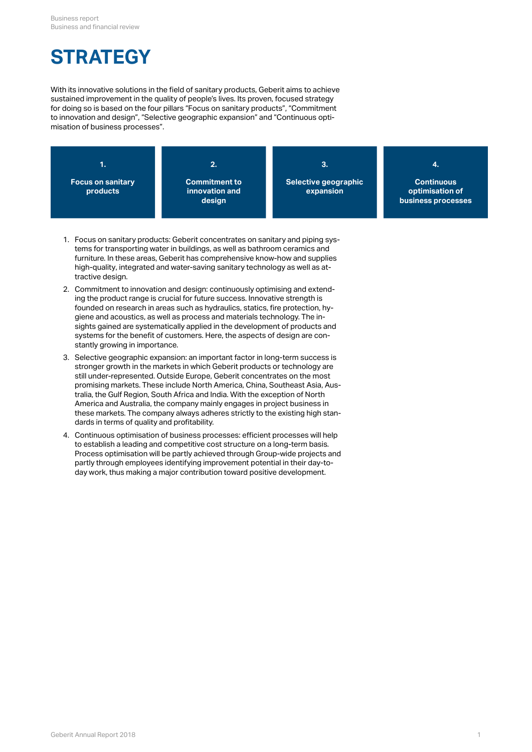# **STRATEGY**

With its innovative solutions in the field of sanitary products, Geberit aims to achieve sustained improvement in the quality of people's lives. Its proven, focused strategy for doing so is based on the four pillars "Focus on sanitary products", "Commitment to innovation and design", "Selective geographic expansion" and "Continuous optimisation of business processes".



- 1. Focus on sanitary products: Geberit concentrates on sanitary and piping systems for transporting water in buildings, as well as bathroom ceramics and furniture. In these areas, Geberit has comprehensive know-how and supplies high-quality, integrated and water-saving sanitary technology as well as attractive design.
- 2. Commitment to innovation and design: continuously optimising and extending the product range is crucial for future success. Innovative strength is founded on research in areas such as hydraulics, statics, fire protection, hygiene and acoustics, as well as process and materials technology. The insights gained are systematically applied in the development of products and systems for the benefit of customers. Here, the aspects of design are constantly growing in importance.
- 3. Selective geographic expansion: an important factor in long-term success is stronger growth in the markets in which Geberit products or technology are still under-represented. Outside Europe, Geberit concentrates on the most promising markets. These include North America, China, Southeast Asia, Australia, the Gulf Region, South Africa and India. With the exception of North America and Australia, the company mainly engages in project business in these markets. The company always adheres strictly to the existing high standards in terms of quality and profitability.
- 4. Continuous optimisation of business processes: efficient processes will help to establish a leading and competitive cost structure on a long-term basis. Process optimisation will be partly achieved through Group-wide projects and partly through employees identifying improvement potential in their day-today work, thus making a major contribution toward positive development.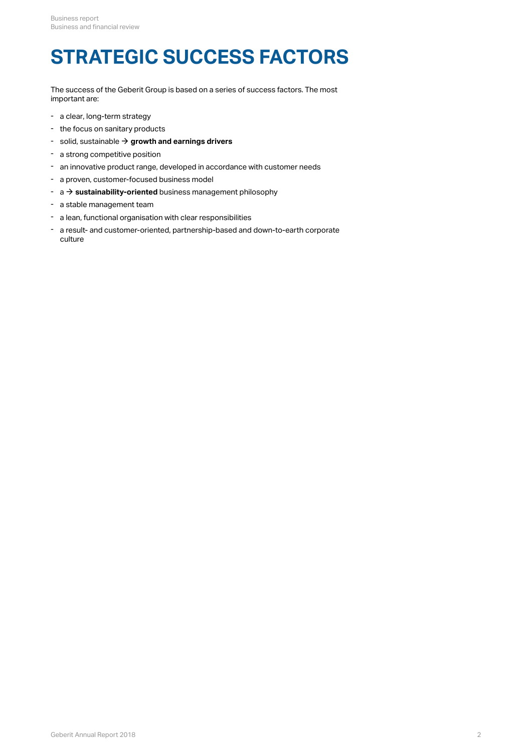# **STRATEGIC SUCCESS FACTORS**

The success of the Geberit Group is based on a series of success factors. The most important are:

- a clear, long-term strategy
- the focus on sanitary products
- $\text{-}$  solid, sustainable  $\rightarrow$  [growth and earnings drivers](#page-2-0)
- a strong competitive position
- an innovative product range, developed in accordance with customer needs
- a proven, customer-focused business model
- $\rightarrow$  a  $\rightarrow$  **sustainability-oriented** business management philosophy
- a stable management team
- a lean, functional organisation with clear responsibilities
- a result- and customer-oriented, partnership-based and down-to-earth corporate culture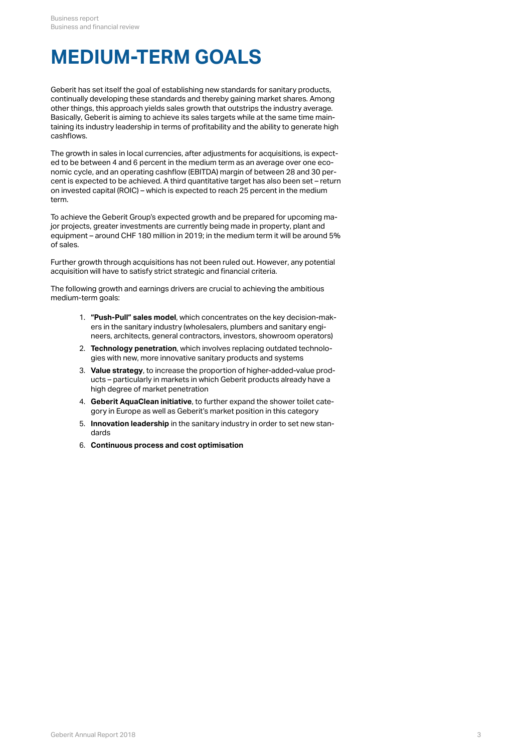## <span id="page-2-0"></span>**MEDIUM-TERM GOALS**

Geberit has set itself the goal of establishing new standards for sanitary products, continually developing these standards and thereby gaining market shares. Among other things, this approach yields sales growth that outstrips the industry average. Basically, Geberit is aiming to achieve its sales targets while at the same time maintaining its industry leadership in terms of profitability and the ability to generate high cashflows.

The growth in sales in local currencies, after adjustments for acquisitions, is expected to be between 4 and 6 percent in the medium term as an average over one economic cycle, and an operating cashflow (EBITDA) margin of between 28 and 30 percent is expected to be achieved. A third quantitative target has also been set – return on invested capital (ROIC) – which is expected to reach 25 percent in the medium term.

To achieve the Geberit Group's expected growth and be prepared for upcoming major projects, greater investments are currently being made in property, plant and equipment – around CHF 180 million in 2019; in the medium term it will be around 5% of sales.

Further growth through acquisitions has not been ruled out. However, any potential acquisition will have to satisfy strict strategic and financial criteria.

The following growth and earnings drivers are crucial to achieving the ambitious medium-term goals:

- 1. **"Push-Pull" sales model**, which concentrates on the key decision-makers in the sanitary industry (wholesalers, plumbers and sanitary engineers, architects, general contractors, investors, showroom operators)
- 2. **Technology penetration**, which involves replacing outdated technologies with new, more innovative sanitary products and systems
- 3. **Value strategy**, to increase the proportion of higher-added-value products – particularly in markets in which Geberit products already have a high degree of market penetration
- 4. **Geberit AquaClean initiative**, to further expand the shower toilet category in Europe as well as Geberit's market position in this category
- 5. **Innovation leadership** in the sanitary industry in order to set new standards
- 6. **Continuous process and cost optimisation**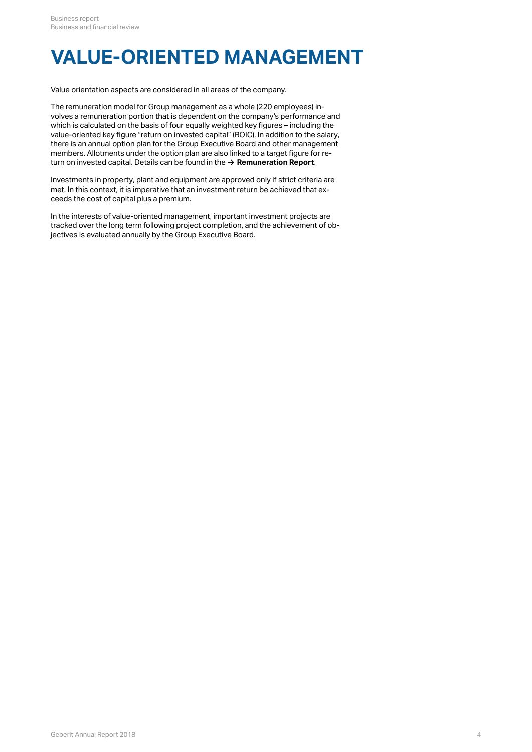# **VALUE-ORIENTED MANAGEMENT**

Value orientation aspects are considered in all areas of the company.

The remuneration model for Group management as a whole (220 employees) involves a remuneration portion that is dependent on the company's performance and which is calculated on the basis of four equally weighted key figures – including the value-oriented key figure "return on invested capital" (ROIC). In addition to the salary, there is an annual option plan for the Group Executive Board and other management members. Allotments under the option plan are also linked to a target figure for return on invested capital. Details can be found in the  $\rightarrow$  **[Remuneration Report](http://annualreport.geberit.com/reports/geberit/annual/2018/gb/English/107050/5_-remune_ration-architecture.html)**.

Investments in property, plant and equipment are approved only if strict criteria are met. In this context, it is imperative that an investment return be achieved that exceeds the cost of capital plus a premium.

In the interests of value-oriented management, important investment projects are tracked over the long term following project completion, and the achievement of objectives is evaluated annually by the Group Executive Board.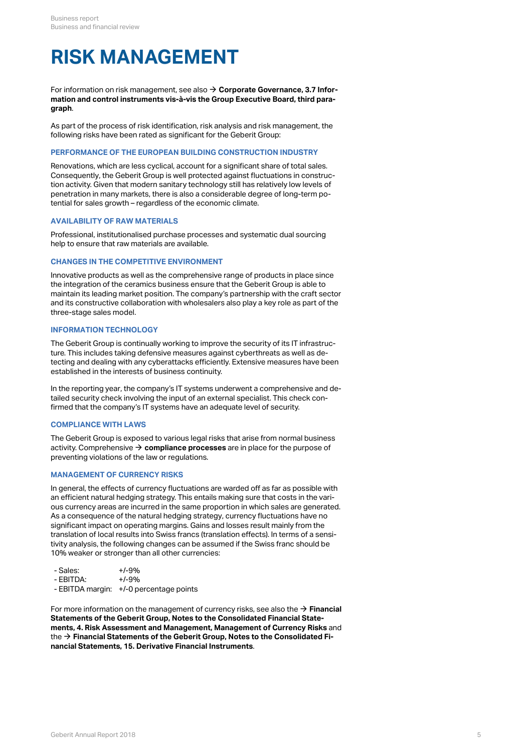# <span id="page-4-0"></span>**RISK MANAGEMENT**

For information on risk management, see also **[Corporate Governance, 3.7 Infor-](http://annualreport.geberit.com/reports/geberit/annual/2018/gb/English/106030/3_-board-of-directors.html?anchor=106030_3_7#106030_3_7)**[\\$](http://annualreport.geberit.com/reports/geberit/annual/2018/gb/English/106030/3_-board-of-directors.html?anchor=106030_3_7#106030_3_7) **[mation and control instruments vis-à-vis the Group Executive Board, third para](http://annualreport.geberit.com/reports/geberit/annual/2018/gb/English/106030/3_-board-of-directors.html?anchor=106030_3_7#106030_3_7)[graph](http://annualreport.geberit.com/reports/geberit/annual/2018/gb/English/106030/3_-board-of-directors.html?anchor=106030_3_7#106030_3_7)**.

As part of the process of risk identification, risk analysis and risk management, the following risks have been rated as significant for the Geberit Group:

#### **PERFORMANCE OF THE EUROPEAN BUILDING CONSTRUCTION INDUSTRY**

Renovations, which are less cyclical, account for a significant share of total sales. Consequently, the Geberit Group is well protected against fluctuations in construction activity. Given that modern sanitary technology still has relatively low levels of penetration in many markets, there is also a considerable degree of long-term potential for sales growth – regardless of the economic climate.

#### **AVAILABILITY OF RAW MATERIALS**

Professional, institutionalised purchase processes and systematic dual sourcing help to ensure that raw materials are available.

#### **CHANGES IN THE COMPETITIVE ENVIRONMENT**

Innovative products as well as the comprehensive range of products in place since the integration of the ceramics business ensure that the Geberit Group is able to maintain its leading market position. The company's partnership with the craft sector and its constructive collaboration with wholesalers also play a key role as part of the three-stage sales model.

#### **INFORMATION TECHNOLOGY**

The Geberit Group is continually working to improve the security of its IT infrastructure. This includes taking defensive measures against cyberthreats as well as detecting and dealing with any cyberattacks efficiently. Extensive measures have been established in the interests of business continuity.

In the reporting year, the company's IT systems underwent a comprehensive and detailed security check involving the input of an external specialist. This check confirmed that the company's IT systems have an adequate level of security.

#### **COMPLIANCE WITH LAWS**

The Geberit Group is exposed to various legal risks that arise from normal business activity. Comprehensive  $\bm{\rightarrow}$  **compliance processes** are in place for the purpose of preventing violations of the law or regulations.

#### <span id="page-4-1"></span>**MANAGEMENT OF CURRENCY RISKS**

In general, the effects of currency fluctuations are warded off as far as possible with an efficient natural hedging strategy. This entails making sure that costs in the various currency areas are incurred in the same proportion in which sales are generated. As a consequence of the natural hedging strategy, currency fluctuations have no significant impact on operating margins. Gains and losses result mainly from the translation of local results into Swiss francs (translation effects). In terms of a sensitivity analysis, the following changes can be assumed if the Swiss franc should be 10% weaker or stronger than all other currencies:

| - Sales:  | $+/-9%$                                 |
|-----------|-----------------------------------------|
| - EBITDA: | $+1 - 9%$                               |
|           | - EBITDA margin: +/-0 percentage points |

For more information on the management of currency risks, see also the **[Financial](http://annualreport.geberit.com/reports/geberit/annual/2018/gb/English/20405004/4_-risk-assessment-and-management.html)** [\\$](http://annualreport.geberit.com/reports/geberit/annual/2018/gb/English/20405004/4_-risk-assessment-and-management.html) **[Statements of the Geberit Group, Notes to the Consolidated Financial State](http://annualreport.geberit.com/reports/geberit/annual/2018/gb/English/20405004/4_-risk-assessment-and-management.html)[ments, 4. Risk Assessment and Management, Management of Currency Risks](http://annualreport.geberit.com/reports/geberit/annual/2018/gb/English/20405004/4_-risk-assessment-and-management.html)** and the → **[Financial Statements of the Geberit Group, Notes to the Consolidated Fi](http://annualreport.geberit.com/reports/geberit/annual/2018/gb/English/20405004/4_-risk-assessment-and-management.html)[nancial Statements, 15. Derivative Financial Instruments](http://annualreport.geberit.com/reports/geberit/annual/2018/gb/English/20405004/4_-risk-assessment-and-management.html)**.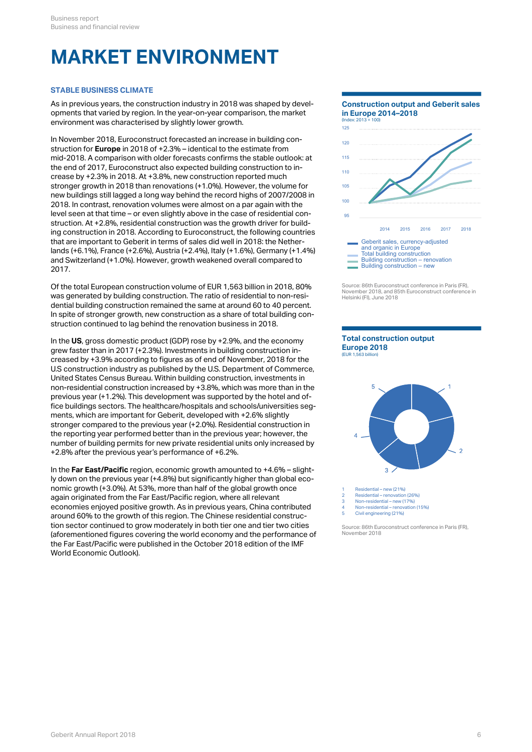# **MARKET ENVIRONMENT**

#### **STABLE BUSINESS CLIMATE**

As in previous years, the construction industry in 2018 was shaped by developments that varied by region. In the year-on-year comparison, the market environment was characterised by slightly lower growth.

In November 2018, Euroconstruct forecasted an increase in building construction for **Europe** in 2018 of +2.3% – identical to the estimate from mid-2018. A comparison with older forecasts confirms the stable outlook: at the end of 2017, Euroconstruct also expected building construction to increase by +2.3% in 2018. At +3.8%, new construction reported much stronger growth in 2018 than renovations (+1.0%). However, the volume for new buildings still lagged a long way behind the record highs of 2007/2008 in 2018. In contrast, renovation volumes were almost on a par again with the level seen at that time – or even slightly above in the case of residential construction. At +2.8%, residential construction was the growth driver for building construction in 2018. According to Euroconstruct, the following countries that are important to Geberit in terms of sales did well in 2018: the Netherlands (+6.1%), France (+2.6%), Austria (+2.4%), Italy (+1.6%), Germany (+1.4%) and Switzerland (+1.0%). However, growth weakened overall compared to 2017.

Of the total European construction volume of EUR 1,563 billion in 2018, 80% was generated by building construction. The ratio of residential to non-residential building construction remained the same at around 60 to 40 percent. In spite of stronger growth, new construction as a share of total building construction continued to lag behind the renovation business in 2018.

In the **US**, gross domestic product (GDP) rose by +2.9%, and the economy grew faster than in 2017 (+2.3%). Investments in building construction increased by +3.9% according to figures as of end of November, 2018 for the U.S construction industry as published by the U.S. Department of Commerce, United States Census Bureau. Within building construction, investments in non-residential construction increased by +3.8%, which was more than in the previous year (+1.2%). This development was supported by the hotel and office buildings sectors. The healthcare/hospitals and schools/universities segments, which are important for Geberit, developed with +2.6% slightly stronger compared to the previous year (+2.0%). Residential construction in the reporting year performed better than in the previous year; however, the number of building permits for new private residential units only increased by +2.8% after the previous year's performance of +6.2%.

In the **Far East/Pacific** region, economic growth amounted to +4.6% – slightly down on the previous year (+4.8%) but significantly higher than global economic growth (+3.0%). At 53%, more than half of the global growth once again originated from the Far East/Pacific region, where all relevant  $\frac{2}{3}$ economies enjoyed positive growth. As in previous years, China contributed around 60% to the growth of this region. The Chinese residential construction sector continued to grow moderately in both tier one and tier two cities (aforementioned figures covering the world economy and the performance of the Far East/Pacific were published in the October 2018 edition of the IMF World Economic Outlook).

**Construction output and Geberit sales in Europe 2014–2018** (Index: 2013 = 100) 2014 2015 2016 2017 2018 95 100 105 110 115 120 125 Geberit sales, currency-adjusted and organic in Europe Total building construction Building construction – renovation Building construction – new

Source: 86th Euroconstruct conference in Paris (FR), November 2018, and 85th Euroconstruct conference in Helsinki (FI), June 2018





Residential – new (21%)

2 Residential – renovation (26%) 3 Non-residential – new (17%)

4 Non-residential – renovation (15%)

5 Civil engineering (21%)

Source: 86th Euroconstruct conference in Paris (FR), November 2018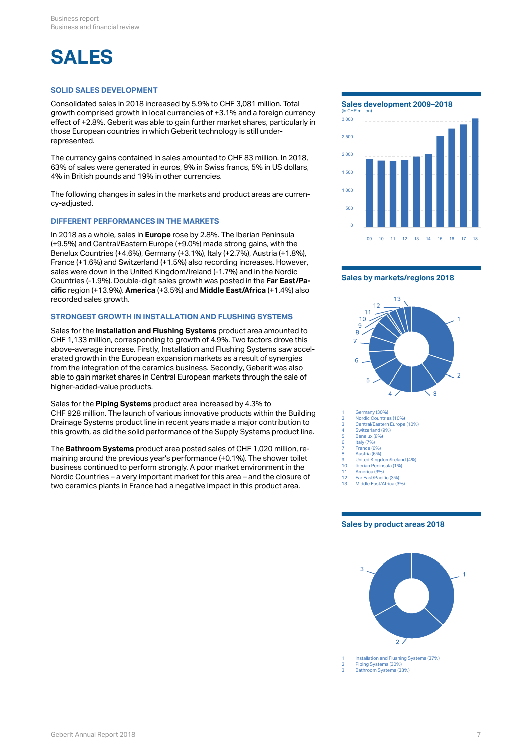# **SALES**

#### **SOLID SALES DEVELOPMENT**

Consolidated sales in 2018 increased by 5.9% to CHF 3,081 million. Total growth comprised growth in local currencies of +3.1% and a foreign currency effect of +2.8%. Geberit was able to gain further market shares, particularly in those European countries in which Geberit technology is still underrepresented.

The currency gains contained in sales amounted to CHF 83 million. In 2018, 63% of sales were generated in euros, 9% in Swiss francs, 5% in US dollars, 4% in British pounds and 19% in other currencies.

The following changes in sales in the markets and product areas are currency-adjusted.

#### **DIFFERENT PERFORMANCES IN THE MARKETS**

In 2018 as a whole, sales in **Europe** rose by 2.8%. The Iberian Peninsula (+9.5%) and Central/Eastern Europe (+9.0%) made strong gains, with the Benelux Countries (+4.6%), Germany (+3.1%), Italy (+2.7%), Austria (+1.8%), France (+1.6%) and Switzerland (+1.5%) also recording increases. However, sales were down in the United Kingdom/Ireland (-1.7%) and in the Nordic Countries (-1.9%). Double-digit sales growth was posted in the **Far East/Pacific** region (+13.9%). **America** (+3.5%) and **Middle East/Africa** (+1.4%) also recorded sales growth.

### **STRONGEST GROWTH IN INSTALLATION AND FLUSHING SYSTEMS**

Sales for the **Installation and Flushing Systems** product area amounted to CHF 1,133 million, corresponding to growth of 4.9%. Two factors drove this above-average increase. Firstly, Installation and Flushing Systems saw accelerated growth in the European expansion markets as a result of synergies from the integration of the ceramics business. Secondly, Geberit was also able to gain market shares in Central European markets through the sale of higher-added-value products.

Sales for the **Piping Systems** product area increased by 4.3% to CHF 928 million. The launch of various innovative products within the Building  $\frac{1}{2}$ Drainage Systems product line in recent years made a major contribution to  $\frac{2}{3}$ this growth, as did the solid performance of the Supply Systems product line.

The **Bathroom Systems** product area posted sales of CHF 1,020 million, remaining around the previous year's performance  $(+0.1\%)$ . The shower toilet business continued to perform strongly. A poor market environment in the the state of the state of the state of the state of the state of the state of the state of the state of the state of the state of the state of the st Nordic Countries – a very important market for this area – and the closure of two ceramics plants in France had a negative impact in this product area.

**Sales development 2009–2018**



#### **Sales by markets/regions 2018**



Germany (30%)

- 2 Nordic Countries (10%) 3 Central/Eastern Europe (10%)
- Switzerland (9%)
- 5 Benelux (8%)<br>6 Italy (7%) 6 Italy (7%)
	- France (6%)
- Austria (6%) 9 United Kingdom/Ireland (4%)
- 10 Iberian Peninsula (1%) 11 America (3%)
- 12 Far East/Pacific (3%)
- 1 ar Eastri achie (5 %)<br>Middle East/Africa (3%)

#### **Sales by product areas 2018**

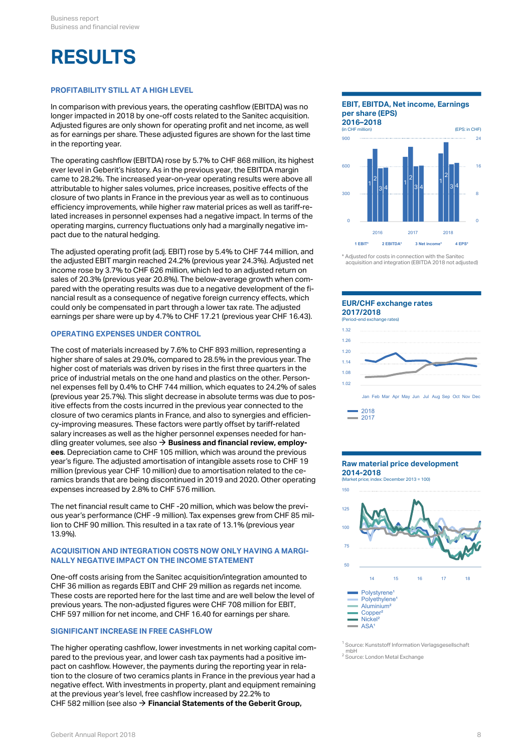# **RESULTS**

#### **PROFITABILITY STILL AT A HIGH LEVEL**

In comparison with previous years, the operating cashflow (EBITDA) was no longer impacted in 2018 by one-off costs related to the Sanitec acquisition. Adjusted figures are only shown for operating profit and net income, as well as for earnings per share. These adjusted figures are shown for the last time in the reporting year.

The operating cashflow (EBITDA) rose by 5.7% to CHF 868 million, its highest ever level in Geberit's history. As in the previous year, the EBITDA margin came to 28.2%. The increased year-on-year operating results were above all attributable to higher sales volumes, price increases, positive effects of the closure of two plants in France in the previous year as well as to continuous efficiency improvements, while higher raw material prices as well as tariff-related increases in personnel expenses had a negative impact. In terms of the operating margins, currency fluctuations only had a marginally negative impact due to the natural hedging.

The adjusted operating profit (adj. EBIT) rose by 5.4% to CHF 744 million, and the adjusted EBIT margin reached 24.2% (previous year 24.3%). Adjusted net income rose by 3.7% to CHF 626 million, which led to an adjusted return on sales of 20.3% (previous year 20.8%). The below-average growth when compared with the operating results was due to a negative development of the financial result as a consequence of negative foreign currency effects, which could only be compensated in part through a lower tax rate. The adjusted earnings per share were up by 4.7% to CHF 17.21 (previous year CHF 16.43).

#### **OPERATING EXPENSES UNDER CONTROL**

The cost of materials increased by 7.6% to CHF 893 million, representing a higher share of sales at 29.0%, compared to 28.5% in the previous year. The higher cost of materials was driven by rises in the first three quarters in the price of industrial metals on the one hand and plastics on the other. Personnel expenses fell by 0.4% to CHF 744 million, which equates to 24.2% of sales (previous year 25.7%). This slight decrease in absolute terms was due to positive effects from the costs incurred in the previous year connected to the closure of two ceramics plants in France, and also to synergies and efficiency-improving measures. These factors were partly offset by tariff-related salary increases as well as the higher personnel expenses needed for handling greater volumes, see also **[Business and financial review, employ-](#page-11-0)**[\\$](#page-11-0) **[ees](#page-11-0)**. Depreciation came to CHF 105 million, which was around the previous year's figure. The adjusted amortisation of intangible assets rose to CHF 19 million (previous year CHF 10 million) due to amortisation related to the ceramics brands that are being discontinued in 2019 and 2020. Other operating expenses increased by 2.8% to CHF 576 million.

The net financial result came to CHF -20 million, which was below the previous year's performance (CHF -9 million). Tax expenses grew from CHF 85 million to CHF 90 million. This resulted in a tax rate of 13.1% (previous year 13.9%).

#### **ACQUISITION AND INTEGRATION COSTS NOW ONLY HAVING A MARGI-NALLY NEGATIVE IMPACT ON THE INCOME STATEMENT**

One-off costs arising from the Sanitec acquisition/integration amounted to  $\frac{14}{15} = \frac{16}{16} = \frac{17}{16}$ CHF 36 million as regards EBIT and CHF 29 million as regards net income. These costs are reported here for the last time and are well below the level of previous years. The non-adjusted figures were CHF 708 million for EBIT, CHF 597 million for net income, and CHF 16.40 for earnings per share.

#### **SIGNIFICANT INCREASE IN FREE CASHFLOW**

The higher operating cashflow, lower investments in net working capital compared to the previous year, and lower cash tax payments had a positive impact on cashflow. However, the payments during the reporting year in relation to the closure of two ceramics plants in France in the previous year had a negative effect. With investments in property, plant and equipment remaining at the previous year's level, free cashflow increased by 22.2% to CHF 582 million (see also **[Financial Statements of the Geberit Group,](http://annualreport.geberit.com/reports/geberit/annual/2018/gb/English/20405028/28_-cashflow-figures.html)** [\\$](http://annualreport.geberit.com/reports/geberit/annual/2018/gb/English/20405028/28_-cashflow-figures.html)

### **EBIT, EBITDA, Net income, Earnings per share (EPS)**



<sup>\*</sup> Adjusted for costs in connection with the Sanitec acquisition and integration (EBITDA 2018 not adjusted)

#### **EUR/CHF exchange rates 2017/2018**



Jan Feb Mar Apr May Jun Jul Aug Sep Oct Nov Dec



#### **Raw material price development 2014-2018**

(Market price; index: December 2013 = 100)



<sup>1</sup> Source: Kunststoff Information Verlagsgesellschaft mbH<br><sup>2</sup> Source: London Metal Exchange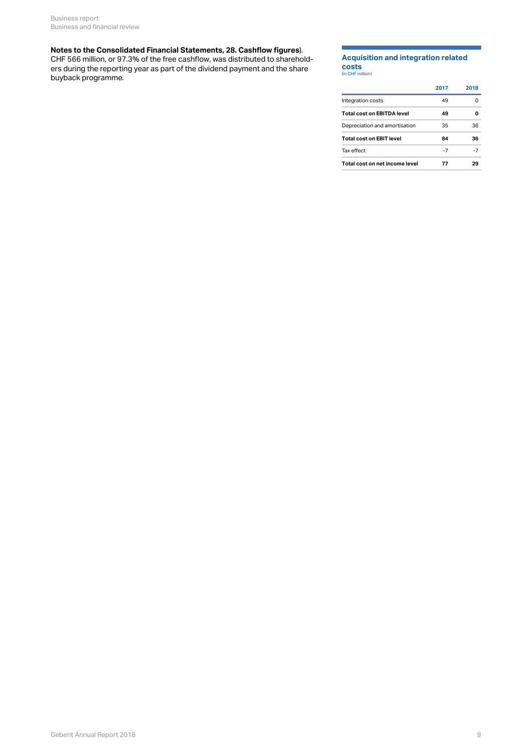#### **[Notes to the Consolidated Financial Statements, 28. Cashflow figures](http://annualreport.geberit.com/reports/geberit/annual/2018/gb/English/20405028/28_-cashflow-figures.html)**).

CHF 566 million, or 97.3% of the free cashflow, was distributed to shareholders during the reporting year as part of the dividend payment and the share buyback programme.

### **Acquisition and integration related costs**

| ______           |  |
|------------------|--|
| (in CHF million) |  |

|                                 | 2017 | 2018 |
|---------------------------------|------|------|
| Integration costs               | 49   | 0    |
| Total cost on EBITDA level      | 49   | o    |
| Depreciation and amortisation   | 35   | 36   |
| <b>Total cost on EBIT level</b> | 84   | 36   |
| Tax effect                      | -7   | -7   |
| Total cost on net income level  | 77   | 29   |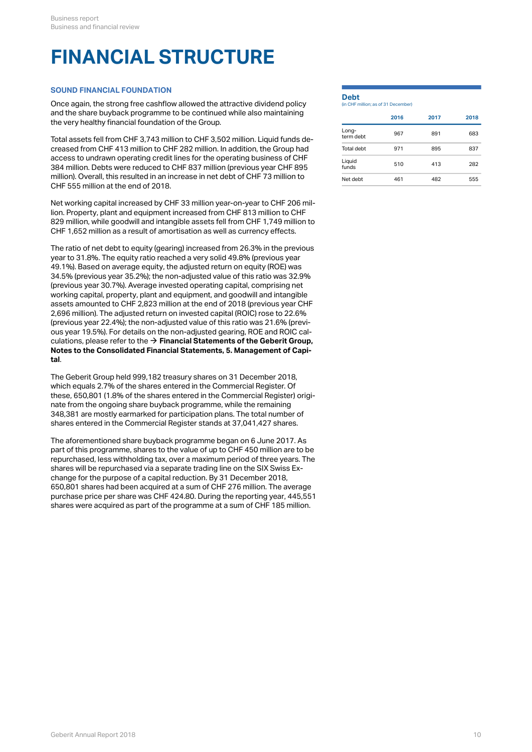# **FINANCIAL STRUCTURE**

### **SOUND FINANCIAL FOUNDATION**

Once again, the strong free cashflow allowed the attractive dividend policy and the share buyback programme to be continued while also maintaining the very healthy financial foundation of the Group.

Total assets fell from CHF 3,743 million to CHF 3,502 million. Liquid funds decreased from CHF 413 million to CHF 282 million. In addition, the Group had access to undrawn operating credit lines for the operating business of CHF 384 million. Debts were reduced to CHF 837 million (previous year CHF 895 million). Overall, this resulted in an increase in net debt of CHF 73 million to  $\frac{1}{\text{Net debt}}$  461 482 CHF 555 million at the end of 2018.

Net working capital increased by CHF 33 million year-on-year to CHF 206 million. Property, plant and equipment increased from CHF 813 million to CHF 829 million, while goodwill and intangible assets fell from CHF 1,749 million to CHF 1,652 million as a result of amortisation as well as currency effects.

The ratio of net debt to equity (gearing) increased from 26.3% in the previous year to 31.8%. The equity ratio reached a very solid 49.8% (previous year 49.1%). Based on average equity, the adjusted return on equity (ROE) was 34.5% (previous year 35.2%); the non-adjusted value of this ratio was 32.9% (previous year 30.7%). Average invested operating capital, comprising net working capital, property, plant and equipment, and goodwill and intangible assets amounted to CHF 2,823 million at the end of 2018 (previous year CHF 2,696 million). The adjusted return on invested capital (ROIC) rose to 22.6% (previous year 22.4%); the non-adjusted value of this ratio was 21.6% (previous year 19.5%). For details on the non-adjusted gearing, ROE and ROIC calculations, please refer to the  $\rightarrow$  **[Financial Statements of the Geberit Group,](http://annualreport.geberit.com/reports/geberit/annual/2018/gb/English/20405005/5_-management-of-capital.html) [Notes to the Consolidated Financial Statements, 5. Management of Capi](http://annualreport.geberit.com/reports/geberit/annual/2018/gb/English/20405005/5_-management-of-capital.html)[tal](http://annualreport.geberit.com/reports/geberit/annual/2018/gb/English/20405005/5_-management-of-capital.html)**.

The Geberit Group held 999,182 treasury shares on 31 December 2018, which equals 2.7% of the shares entered in the Commercial Register. Of these, 650,801 (1.8% of the shares entered in the Commercial Register) originate from the ongoing share buyback programme, while the remaining 348,381 are mostly earmarked for participation plans. The total number of shares entered in the Commercial Register stands at 37,041,427 shares.

The aforementioned share buyback programme began on 6 June 2017. As part of this programme, shares to the value of up to CHF 450 million are to be repurchased, less withholding tax, over a maximum period of three years. The shares will be repurchased via a separate trading line on the SIX Swiss Exchange for the purpose of a capital reduction. By 31 December 2018, 650,801 shares had been acquired at a sum of CHF 276 million. The average purchase price per share was CHF 424.80. During the reporting year, 445,551 shares were acquired as part of the programme at a sum of CHF 185 million.

### **Debt** (in CHF million; as of 31 December)

|                    | 2016 | 2017 | 2018 |
|--------------------|------|------|------|
| Long-<br>term debt | 967  | 891  | 683  |
| Total debt         | 971  | 895  | 837  |
| Liquid<br>funds    | 510  | 413  | 282  |

Net debt 461 482 555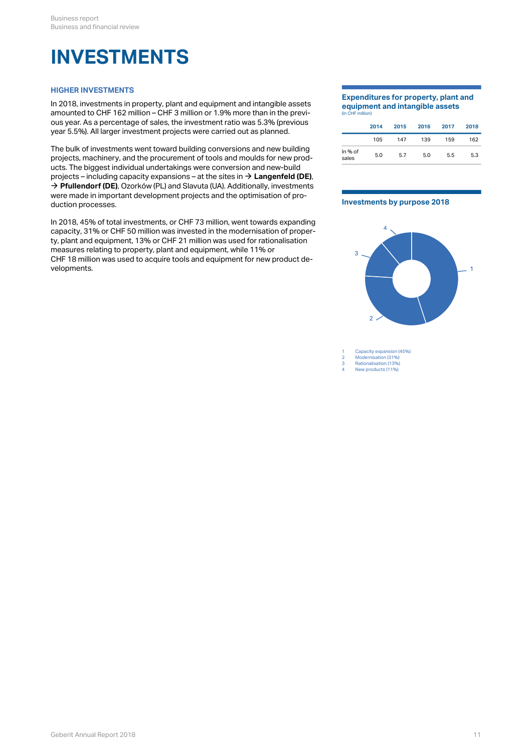### <span id="page-10-0"></span>**INVESTMENTS**

### **HIGHER INVESTMENTS**

In 2018, investments in property, plant and equipment and intangible assets amounted to CHF 162 million – CHF 3 million or 1.9% more than in the previous year. As a percentage of sales, the investment ratio was 5.3% (previous year 5.5%). All larger investment projects were carried out as planned.

The bulk of investments went toward building conversions and new building projects, machinery, and the procurement of tools and moulds for new products. The biggest individual undertakings were conversion and new-build projects – including capacity expansions – at the sites in **[Langenfeld \(DE\)](http://annualreport.geberit.com/reports/geberit/annual/2018/gb/English/0/home.html?anchor=Langenfeld#Langenfeld)**, [\\$](http://annualreport.geberit.com/reports/geberit/annual/2018/gb/English/0/home.html?anchor=Langenfeld#Langenfeld) → **[Pfullendorf \(DE\)](http://annualreport.geberit.com/reports/geberit/annual/2018/gb/English/0/home.html?anchor=Pfullendorf#Pfullendorf)**, Ozorków (PL) and Slavuta (UA). Additionally, investments were made in important development projects and the optimisation of production processes.

In 2018, 45% of total investments, or CHF 73 million, went towards expanding capacity, 31% or CHF 50 million was invested in the modernisation of property, plant and equipment, 13% or CHF 21 million was used for rationalisation measures relating to property, plant and equipment, while 11% or CHF 18 million was used to acquire tools and equipment for new product developments.

#### **Expenditures for property, plant and equipment and intangible assets** (in CHF million)

|                  | 2014 | 2015 | 2016 | 2017 | 2018 |
|------------------|------|------|------|------|------|
|                  | 105  | 147  | 139  | 159  | 162  |
| In % of<br>sales | 5.0  | 5.7  | 5.0  | 5.5  | 5.3  |

#### **Investments by purpose 2018**



1 Capacity expansion (45%)<br>2 Modernisation (31%)

2 Modernisation (31%) 3 Rationalisation (13%) 4 New products (11%)

Geberit Annual Report 2018 11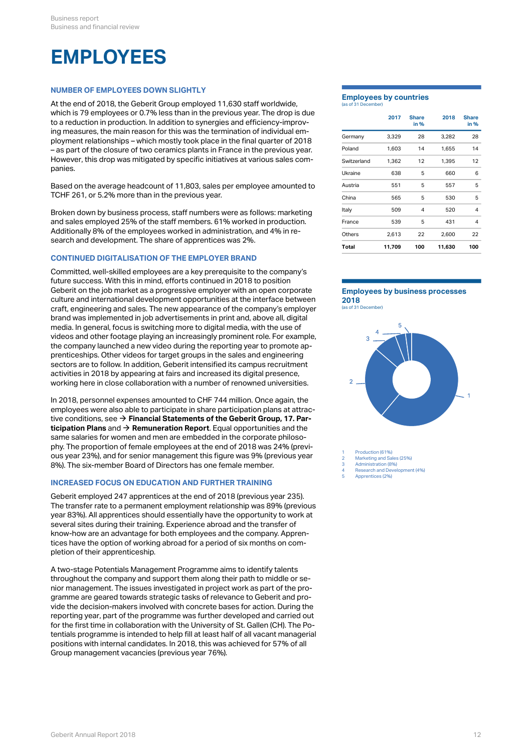### <span id="page-11-0"></span>**EMPLOYEES**

### **NUMBER OF EMPLOYEES DOWN SLIGHTLY**

At the end of 2018, the Geberit Group employed 11,630 staff worldwide, which is 79 employees or 0.7% less than in the previous year. The drop is due to a reduction in production. In addition to synergies and efficiency-improving measures, the main reason for this was the termination of individual employment relationships – which mostly took place in the final quarter of 2018 – as part of the closure of two ceramics plants in France in the previous year. However, this drop was mitigated by specific initiatives at various sales companies.

Based on the average headcount of 11,803, sales per employee amounted to TCHF 261, or 5.2% more than in the previous year.

Broken down by business process, staff numbers were as follows: marketing and sales employed 25% of the staff members. 61% worked in production. Additionally 8% of the employees worked in administration, and 4% in research and development. The share of apprentices was 2%.

#### **CONTINUED DIGITALISATION OF THE EMPLOYER BRAND**

Committed, well-skilled employees are a key prerequisite to the company's future success. With this in mind, efforts continued in 2018 to position Geberit on the job market as a progressive employer with an open corporate culture and international development opportunities at the interface between craft, engineering and sales. The new appearance of the company's employer brand was implemented in job advertisements in print and, above all, digital media. In general, focus is switching more to digital media, with the use of videos and other footage playing an increasingly prominent role. For example, the company launched a new video during the reporting year to promote apprenticeships. Other videos for target groups in the sales and engineering sectors are to follow. In addition, Geberit intensified its campus recruitment activities in 2018 by appearing at fairs and increased its digital presence, working here in close collaboration with a number of renowned universities.

In 2018, personnel expenses amounted to CHF 744 million. Once again, the employees were also able to participate in share participation plans at attractive conditions, see **[Financial Statements of the Geberit Group, 17. Par-](http://annualreport.geberit.com/reports/geberit/annual/2018/gb/English/20405017/17_-participation-plans.html)**[\\$](http://annualreport.geberit.com/reports/geberit/annual/2018/gb/English/20405017/17_-participation-plans.html) **[ticipation Plans](http://annualreport.geberit.com/reports/geberit/annual/2018/gb/English/20405017/17_-participation-plans.html)** and  $\rightarrow$  **[Remuneration Report](http://annualreport.geberit.com/reports/geberit/annual/2018/gb/English/107080/8_-summary-of-share-and-option-plans_nbsp_2018.html)**. Equal opportunities and the same salaries for women and men are embedded in the corporate philosophy. The proportion of female employees at the end of 2018 was 24% (previous year 23%), and for senior management this figure was 9% (previous year 8%). The six-member Board of Directors has one female member.

### **INCREASED FOCUS ON EDUCATION AND FURTHER TRAINING**

Geberit employed 247 apprentices at the end of 2018 (previous year 235). The transfer rate to a permanent employment relationship was 89% (previous year 83%). All apprentices should essentially have the opportunity to work at several sites during their training. Experience abroad and the transfer of know-how are an advantage for both employees and the company. Apprentices have the option of working abroad for a period of six months on completion of their apprenticeship.

A two-stage Potentials Management Programme aims to identify talents throughout the company and support them along their path to middle or senior management. The issues investigated in project work as part of the programme are geared towards strategic tasks of relevance to Geberit and provide the decision-makers involved with concrete bases for action. During the reporting year, part of the programme was further developed and carried out for the first time in collaboration with the University of St. Gallen (CH). The Potentials programme is intended to help fill at least half of all vacant managerial positions with internal candidates. In 2018, this was achieved for 57% of all Group management vacancies (previous year 76%).

#### **Employees by countries** (as of 31 December)

|             | 2017   | <b>Share</b><br>in % | 2018   | <b>Share</b><br>in % |
|-------------|--------|----------------------|--------|----------------------|
| Germany     | 3,329  | 28                   | 3,282  | 28                   |
| Poland      | 1,603  | 14                   | 1,655  | 14                   |
| Switzerland | 1,362  | 12                   | 1,395  | 12                   |
| Ukraine     | 638    | 5                    | 660    | 6                    |
| Austria     | 551    | 5                    | 557    | 5                    |
| China       | 565    | 5                    | 530    | 5                    |
| Italy       | 509    | 4                    | 520    | 4                    |
| France      | 539    | 5                    | 431    | $\overline{4}$       |
| Others      | 2,613  | 22                   | 2,600  | 22                   |
| Total       | 11,709 | 100                  | 11,630 | 100                  |

### **Employees by business processes 2018**





Production (61%) Marketing and Sales (25%)

Administration (8%)

4 Research and Development (4%)

### 5 Apprentices (2%)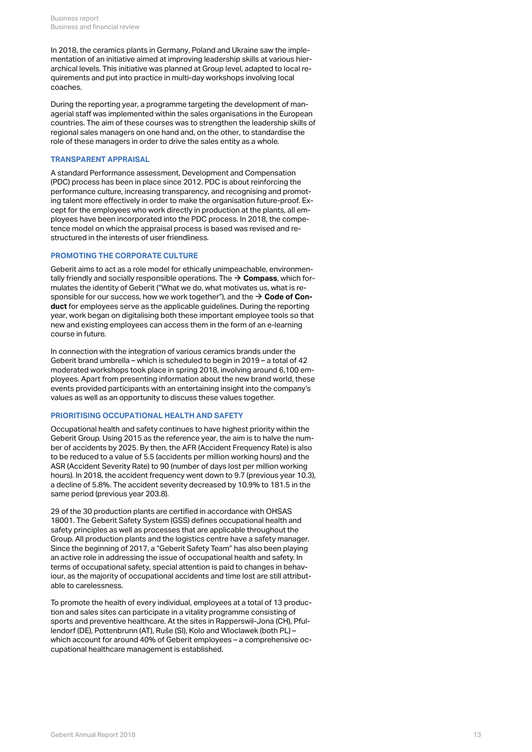In 2018, the ceramics plants in Germany, Poland and Ukraine saw the implementation of an initiative aimed at improving leadership skills at various hierarchical levels. This initiative was planned at Group level, adapted to local requirements and put into practice in multi-day workshops involving local coaches.

During the reporting year, a programme targeting the development of managerial staff was implemented within the sales organisations in the European countries. The aim of these courses was to strengthen the leadership skills of regional sales managers on one hand and, on the other, to standardise the role of these managers in order to drive the sales entity as a whole.

#### **TRANSPARENT APPRAISAL**

A standard Performance assessment, Development and Compensation (PDC) process has been in place since 2012. PDC is about reinforcing the performance culture, increasing transparency, and recognising and promoting talent more effectively in order to make the organisation future-proof. Except for the employees who work directly in production at the plants, all employees have been incorporated into the PDC process. In 2018, the competence model on which the appraisal process is based was revised and restructured in the interests of user friendliness.

#### **PROMOTING THE CORPORATE CULTURE**

Geberit aims to act as a role model for ethically unimpeachable, environmentally friendly and socially responsible operations. The  $\rightarrow$   $\mathsf{Compass}$  $\mathsf{Compass}$  $\mathsf{Compass}$ , which formulates the identity of Geberit ("What we do, what motivates us, what is responsible for our success, how we work together"), and the  $\rightarrow$  **[Code of Con](http://annualreport.geberit.com/geberit/annual/2018/gb/layout/../English/pdf/geberit_code_of_conduct.pdf)[duct](http://annualreport.geberit.com/geberit/annual/2018/gb/layout/../English/pdf/geberit_code_of_conduct.pdf)** for employees serve as the applicable guidelines. During the reporting year, work began on digitalising both these important employee tools so that new and existing employees can access them in the form of an e-learning course in future.

In connection with the integration of various ceramics brands under the Geberit brand umbrella – which is scheduled to begin in 2019 – a total of 42 moderated workshops took place in spring 2018, involving around 6,100 employees. Apart from presenting information about the new brand world, these events provided participants with an entertaining insight into the company's values as well as an opportunity to discuss these values together.

#### **PRIORITISING OCCUPATIONAL HEALTH AND SAFETY**

Occupational health and safety continues to have highest priority within the Geberit Group. Using 2015 as the reference year, the aim is to halve the number of accidents by 2025. By then, the AFR (Accident Frequency Rate) is also to be reduced to a value of 5.5 (accidents per million working hours) and the ASR (Accident Severity Rate) to 90 (number of days lost per million working hours). In 2018, the accident frequency went down to 9.7 (previous year 10.3), a decline of 5.8%. The accident severity decreased by 10.9% to 181.5 in the same period (previous year 203.8).

29 of the 30 production plants are certified in accordance with OHSAS 18001. The Geberit Safety System (GSS) defines occupational health and safety principles as well as processes that are applicable throughout the Group. All production plants and the logistics centre have a safety manager. Since the beginning of 2017, a "Geberit Safety Team" has also been playing an active role in addressing the issue of occupational health and safety. In terms of occupational safety, special attention is paid to changes in behaviour, as the majority of occupational accidents and time lost are still attributable to carelessness.

To promote the health of every individual, employees at a total of 13 production and sales sites can participate in a vitality programme consisting of sports and preventive healthcare. At the sites in Rapperswil-Jona (CH), Pfullendorf (DE), Pottenbrunn (AT), Ruše (SI), Kolo and Wloclawek (both PL) – which account for around 40% of Geberit employees – a comprehensive occupational healthcare management is established.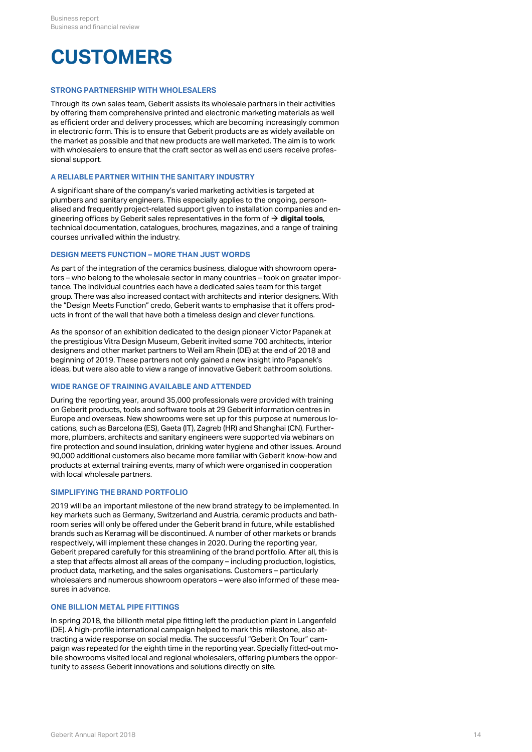## **CUSTOMERS**

#### **STRONG PARTNERSHIP WITH WHOLESALERS**

Through its own sales team, Geberit assists its wholesale partners in their activities by offering them comprehensive printed and electronic marketing materials as well as efficient order and delivery processes, which are becoming increasingly common in electronic form. This is to ensure that Geberit products are as widely available on the market as possible and that new products are well marketed. The aim is to work with wholesalers to ensure that the craft sector as well as end users receive professional support.

#### **A RELIABLE PARTNER WITHIN THE SANITARY INDUSTRY**

A significant share of the company's varied marketing activities is targeted at plumbers and sanitary engineers. This especially applies to the ongoing, personalised and frequently project-related support given to installation companies and engineering offices by Geberit sales representatives in the form of  $\bm{\rightarrow}$  **[digital tools](#page-14-0)**, technical documentation, catalogues, brochures, magazines, and a range of training courses unrivalled within the industry.

### **DESIGN MEETS FUNCTION – MORE THAN JUST WORDS**

As part of the integration of the ceramics business, dialogue with showroom operators – who belong to the wholesale sector in many countries – took on greater importance. The individual countries each have a dedicated sales team for this target group. There was also increased contact with architects and interior designers. With the "Design Meets Function" credo, Geberit wants to emphasise that it offers products in front of the wall that have both a timeless design and clever functions.

As the sponsor of an exhibition dedicated to the design pioneer Victor Papanek at the prestigious Vitra Design Museum, Geberit invited some 700 architects, interior designers and other market partners to Weil am Rhein (DE) at the end of 2018 and beginning of 2019. These partners not only gained a new insight into Papanek's ideas, but were also able to view a range of innovative Geberit bathroom solutions.

### **WIDE RANGE OF TRAINING AVAILABLE AND ATTENDED**

During the reporting year, around 35,000 professionals were provided with training on Geberit products, tools and software tools at 29 Geberit information centres in Europe and overseas. New showrooms were set up for this purpose at numerous locations, such as Barcelona (ES), Gaeta (IT), Zagreb (HR) and Shanghai (CN). Furthermore, plumbers, architects and sanitary engineers were supported via webinars on fire protection and sound insulation, drinking water hygiene and other issues. Around 90,000 additional customers also became more familiar with Geberit know-how and products at external training events, many of which were organised in cooperation with local wholesale partners.

#### **SIMPLIFYING THE BRAND PORTFOLIO**

2019 will be an important milestone of the new brand strategy to be implemented. In key markets such as Germany, Switzerland and Austria, ceramic products and bathroom series will only be offered under the Geberit brand in future, while established brands such as Keramag will be discontinued. A number of other markets or brands respectively, will implement these changes in 2020. During the reporting year, Geberit prepared carefully for this streamlining of the brand portfolio. After all, this is a step that affects almost all areas of the company – including production, logistics, product data, marketing, and the sales organisations. Customers – particularly wholesalers and numerous showroom operators – were also informed of these measures in advance.

#### **ONE BILLION METAL PIPE FITTINGS**

In spring 2018, the billionth metal pipe fitting left the production plant in Langenfeld (DE). A high-profile international campaign helped to mark this milestone, also attracting a wide response on social media. The successful "Geberit On Tour" campaign was repeated for the eighth time in the reporting year. Specially fitted-out mobile showrooms visited local and regional wholesalers, offering plumbers the opportunity to assess Geberit innovations and solutions directly on site.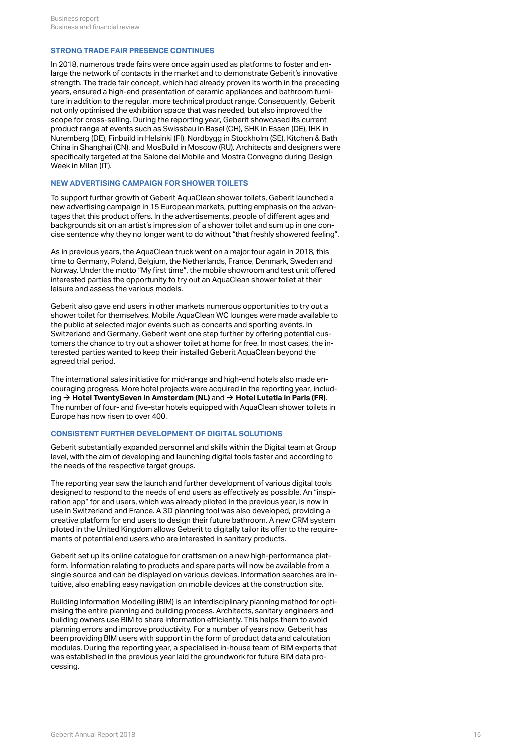#### **STRONG TRADE FAIR PRESENCE CONTINUES**

In 2018, numerous trade fairs were once again used as platforms to foster and enlarge the network of contacts in the market and to demonstrate Geberit's innovative strength. The trade fair concept, which had already proven its worth in the preceding years, ensured a high-end presentation of ceramic appliances and bathroom furniture in addition to the regular, more technical product range. Consequently, Geberit not only optimised the exhibition space that was needed, but also improved the scope for cross-selling. During the reporting year, Geberit showcased its current product range at events such as Swissbau in Basel (CH), SHK in Essen (DE), IHK in Nuremberg (DE), Finbuild in Helsinki (FI), Nordbygg in Stockholm (SE), Kitchen & Bath China in Shanghai (CN), and MosBuild in Moscow (RU). Architects and designers were specifically targeted at the Salone del Mobile and Mostra Convegno during Design Week in Milan (IT).

#### **NEW ADVERTISING CAMPAIGN FOR SHOWER TOILETS**

To support further growth of Geberit AquaClean shower toilets, Geberit launched a new advertising campaign in 15 European markets, putting emphasis on the advantages that this product offers. In the advertisements, people of different ages and backgrounds sit on an artist's impression of a shower toilet and sum up in one concise sentence why they no longer want to do without "that freshly showered feeling".

As in previous years, the AquaClean truck went on a major tour again in 2018, this time to Germany, Poland, Belgium, the Netherlands, France, Denmark, Sweden and Norway. Under the motto "My first time", the mobile showroom and test unit offered interested parties the opportunity to try out an AquaClean shower toilet at their leisure and assess the various models.

Geberit also gave end users in other markets numerous opportunities to try out a shower toilet for themselves. Mobile AquaClean WC lounges were made available to the public at selected major events such as concerts and sporting events. In Switzerland and Germany, Geberit went one step further by offering potential customers the chance to try out a shower toilet at home for free. In most cases, the interested parties wanted to keep their installed Geberit AquaClean beyond the agreed trial period.

The international sales initiative for mid-range and high-end hotels also made encouraging progress. More hotel projects were acquired in the reporting year, including **[Hotel TwentySeven in Amsterdam \(NL\)](http://annualreport.geberit.com/geberit/annual/2018/gb/layout/../English/pdf/View_2019_EN_TwentySeven_Amsterdam.pdf)** and **[Hotel Lutetia in Paris \(FR\)](http://annualreport.geberit.com/geberit/annual/2018/gb/layout/../English/pdf/View_2019_EN_Lutetia_Paris.pdf)**. [\\$](http://annualreport.geberit.com/geberit/annual/2018/gb/layout/../English/pdf/View_2019_EN_TwentySeven_Amsterdam.pdf) [\\$](http://annualreport.geberit.com/geberit/annual/2018/gb/layout/../English/pdf/View_2019_EN_Lutetia_Paris.pdf)The number of four- and five-star hotels equipped with AquaClean shower toilets in Europe has now risen to over 400.

#### <span id="page-14-0"></span>**CONSISTENT FURTHER DEVELOPMENT OF DIGITAL SOLUTIONS**

Geberit substantially expanded personnel and skills within the Digital team at Group level, with the aim of developing and launching digital tools faster and according to the needs of the respective target groups.

The reporting year saw the launch and further development of various digital tools designed to respond to the needs of end users as effectively as possible. An "inspiration app" for end users, which was already piloted in the previous year, is now in use in Switzerland and France. A 3D planning tool was also developed, providing a creative platform for end users to design their future bathroom. A new CRM system piloted in the United Kingdom allows Geberit to digitally tailor its offer to the requirements of potential end users who are interested in sanitary products.

Geberit set up its online catalogue for craftsmen on a new high-performance platform. Information relating to products and spare parts will now be available from a single source and can be displayed on various devices. Information searches are intuitive, also enabling easy navigation on mobile devices at the construction site.

Building Information Modelling (BIM) is an interdisciplinary planning method for optimising the entire planning and building process. Architects, sanitary engineers and building owners use BIM to share information efficiently. This helps them to avoid planning errors and improve productivity. For a number of years now, Geberit has been providing BIM users with support in the form of product data and calculation modules. During the reporting year, a specialised in-house team of BIM experts that was established in the previous year laid the groundwork for future BIM data processing.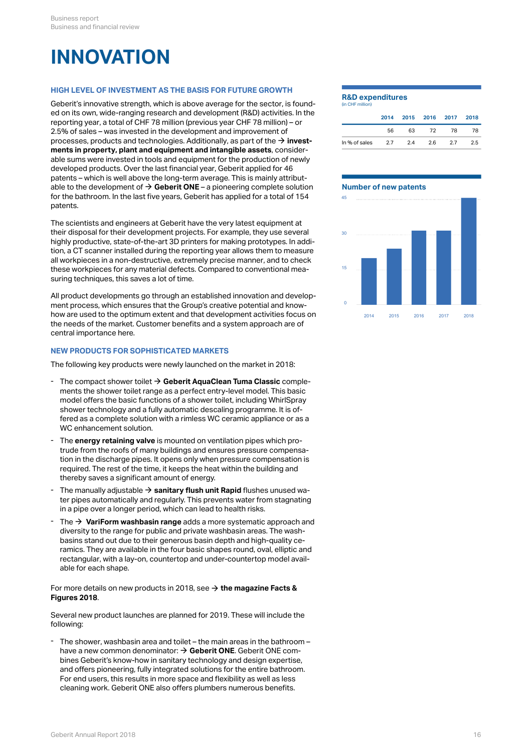## <span id="page-15-1"></span>**INNOVATION**

### **HIGH LEVEL OF INVESTMENT AS THE BASIS FOR FUTURE GROWTH**

Geberit's innovative strength, which is above average for the sector, is founded on its own, wide-ranging research and development (R&D) activities. In the reporting year, a total of CHF 78 million (previous year CHF 78 million) – or 2.5% of sales – was invested in the development and improvement of processes, products and technologies. Additionally, as part of the  $\rightarrow$  **[invest](#page-10-0)[ments in property, plant and equipment and intangible assets](#page-10-0)**, considerable sums were invested in tools and equipment for the production of newly developed products. Over the last financial year, Geberit applied for 46 patents – which is well above the long-term average. This is mainly attributable to the development of  $\rightarrow$  [Geberit ONE](#page-15-0) – a pioneering complete solution Number of new patents for the bathroom. In the last five years, Geberit has applied for a total of 154 patents.  $\rightarrow$  invest-<br>
consider-<br>
n of newly<br>
or 46<br>
attribut-<br>
te solution<br>
Number of new patents<br>
tal of 154

The scientists and engineers at Geberit have the very latest equipment at their disposal for their development projects. For example, they use several highly productive, state-of-the-art 3D printers for making prototypes. In addition, a CT scanner installed during the reporting year allows them to measure all workpieces in a non-destructive, extremely precise manner, and to check these workpieces for any material defects. Compared to conventional measuring techniques, this saves a lot of time.

All product developments go through an established innovation and development process, which ensures that the Group's creative potential and knowhow are used to the optimum extent and that development activities focus on  $2014$   $2015$   $2016$   $2017$ the needs of the market. Customer benefits and a system approach are of central importance here.

#### **NEW PRODUCTS FOR SOPHISTICATED MARKETS**

The following key products were newly launched on the market in 2018:

- The compact shower toilet  $\rightarrow$  [Geberit AquaClean Tuma Classic](http://annualreport.geberit.com/geberit/annual/2018/gb/layout/../English/pdf/GAC-Tuma-Classic_EN.pdf) complements the shower toilet range as a perfect entry-level model. This basic model offers the basic functions of a shower toilet, including WhirlSpray shower ments the shower toilet range as a perfect entry-level model. This basic model offers the basic functions of a shower toilet, including WhirlSpray shower technology and a fully automatic descaling programme. It is offered as a complete solution with a rimless WC ceramic appliance or as a WC enhancement solution.
- The **energy retaining valve** is mounted on ventilation pipes which protrude from the roofs of many buildings and ensures pressure compensation in the discharge pipes. It opens only when pressure compensation is required. The rest of the time, it keeps the heat within the building and - The **energy retaining valve** is mounted on ventilation pipes w<br>trude from the roofs of many buildings and ensures pressure<br>tion in the discharge pipes. It opens only when pressure com<br>required. The rest of the time, it k
- The manually adjustable **[sanitary flush unit Rapid](http://annualreport.geberit.com/geberit/annual/2018/gb/layout/../English/pdf/HS-Rapid_EN.pdf)** flushes unused water pipes automatically and regularly. This prevents water from stagnating - The manually adjustable  $\rightarrow$  **sanitary flush unit Rapid** flushes unused wa-<br>ter pipes automatically and regularly. This prevents water from stagnating<br>in a pipe over a longer period, which can lead to health risks.
- The **[VariForm washbasin range](http://annualreport.geberit.com/geberit/annual/2018/gb/layout/../English/pdf/VariForm_EN.pdf)** adds a more systematic approach and diversity to the range for public and private washbasin areas. The washbasins stand out due to their generous basin depth and high-quality ceramics. They are available in the four basic shapes round, oval, elliptic and rectangular, with a lay-on, countertop and under-countertop model avail-The  $\rightarrow$  VariForm washbasin range adds a more systematic approach and diversity to the range for public and private washbasin areas. The washbasins stand out due to their generous basin depth and high-quality ceramics. Th

#### For more details on new products in 2018, see **[the magazine Facts &](http://annualreport.geberit.com/geberit/annual/2018/gb/layout/../English/pdf/facts_and_figures_2018_EN.pdf)** [\\$](http://annualreport.geberit.com/geberit/annual/2018/gb/layout/../English/pdf/facts_and_figures_2018_EN.pdf) **[Figures 2018](http://annualreport.geberit.com/geberit/annual/2018/gb/layout/../English/pdf/facts_and_figures_2018_EN.pdf)**.

Several new product launches are planned for 2019. These will include the following:

<span id="page-15-0"></span>The shower, washbasin area and toilet – the main areas in the bathroom – have a new common denominator:  $\rightarrow$  [Geberit ONE](http://annualreport.geberit.com/geberit/annual/2018/gb/layout/../English/pdf/Facts_Figures_2019_EN_Geberit_One.pdf). Geberit ONE combines Geberit's know-how in sanitary technology and design expertise, and offers pioneering, fully integrated solutions for the entire bathroom. For end users, this results in more space and flexibility as well as less The shower, washbasin area and toilet – the main areas in the bathroom – have a new common denominator:  $\rightarrow$  Geberit ONE. Geberit ONE combines Geberit's know-how in sanitary technology and design expertise, and offers pio

#### **R&D expenditures**

| In % of sales    | 2.7  | 2.4 | 2.6       | 2.7  | 2.5  |
|------------------|------|-----|-----------|------|------|
|                  | 56   | 63  | 72        | 78   | 78   |
|                  | 2014 |     | 2015 2016 | 2017 | 2018 |
| (in CHF million) |      |     |           |      |      |

#### **Number of new patents**

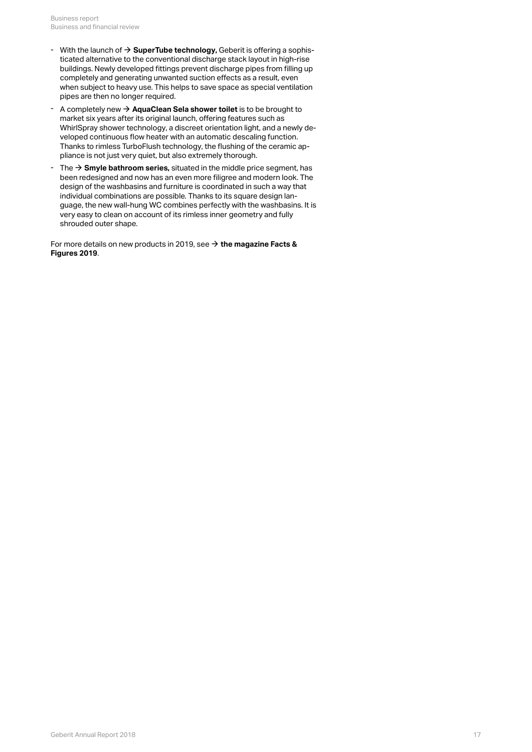- With the launch of  $\rightarrow$  **[SuperTube technology,](http://annualreport.geberit.com/geberit/annual/2018/gb/layout/../English/pdf/Facts_Figures_2019_EN_SuperTube.pdf) Geberit is offering a sophis**ticated alternative to the conventional discharge stack layout in high-rise buildings. Newly developed fittings prevent discharge pipes from filling up completely and generating unwanted suction effects as a result, even when subject to heavy use. This helps to save space as special ventilation pipes are then no longer required. With the launch of  $\rightarrow$  **SuperTube technology**, Geberit is offering a sophisticated alternative to the conventional discharge stack layout in high-rise buildings. Newly developed fittings prevent discharge pipes from fill
- A completely new **[AquaClean Sela shower toilet](http://annualreport.geberit.com/geberit/annual/2018/gb/layout/../English/pdf/Facts_Figures_2019_EN_AquaClean_Sela.pdf)** is to be brought to market six years after its original launch, offering features such as WhirlSpray shower technology, a discreet orientation light, and a newly developed continuous flow heater with an automatic descaling function. Thanks to rimless TurboFlush technology, the flushing of the ceramic ap-<br>pliance is not just very quiet, but also extremely thorough. - A completely new  $\rightarrow$  **AquaClean Sela shower toilet** is to be brought to market six years after its original launch, offering features such as WhirlSpray shower technology, a discreet orientation light, and a newly deve
- $\;$  The  $\; \!\to \;$  **Smyle bathroom series,** situated in the middle price segment, has been redesigned and now has an even more filigree and modern look. The design of the washbasins and furniture is coordinated in such a way that individual combinations are possible. Thanks to its square design language, the new wall-hung WC combines perfectly with the washbasins. It is very easy to clean on account of its rimless inner geometry and fully shrouded outer shape.

For more details on new products in 2019, see **[the magazine Facts &](http://annualreport.geberit.com/geberit/annual/2018/gb/layout/../English/pdf/Facts_Figures_2019_EN.pdf)** [\\$](http://annualreport.geberit.com/geberit/annual/2018/gb/layout/../English/pdf/Facts_Figures_2019_EN.pdf)**[Figures 2019](http://annualreport.geberit.com/geberit/annual/2018/gb/layout/../English/pdf/Facts_Figures_2019_EN.pdf)**.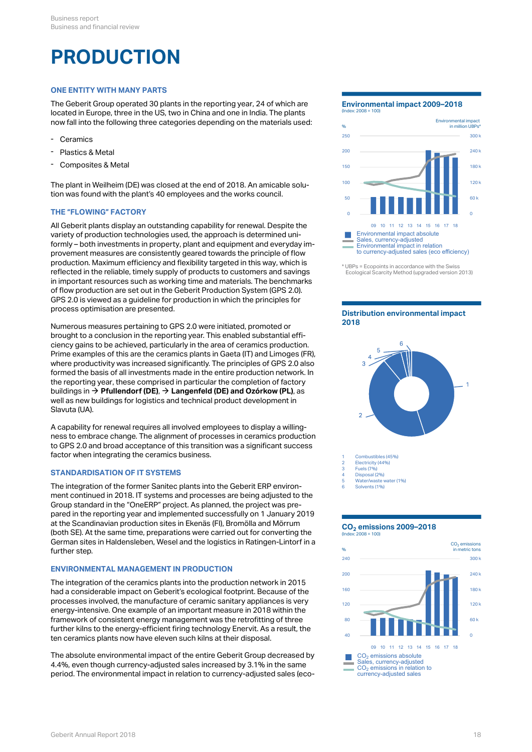# **PRODUCTION**

### **ONE ENTITY WITH MANY PARTS**

The Geberit Group operated 30 plants in the reporting year, 24 of which are located in Europe, three in the US, two in China and one in India. The plants now fall into the following three categories depending on the materials used:

- Ceramics
- Plastics & Metal
- Composites & Metal

The plant in Weilheim (DE) was closed at the end of 2018. An amicable solution was found with the plant's 40 employees and the works council.

### **THE "FLOWING" FACTORY**

All Geberit plants display an outstanding capability for renewal. Despite the variety of production technologies used, the approach is determined uniformly – both investments in property, plant and equipment and everyday improvement measures are consistently geared towards the principle of flow production. Maximum efficiency and flexibility targeted in this way, which is reflected in the reliable, timely supply of products to customers and savings in important resources such as working time and materials. The benchmarks of flow production are set out in the Geberit Production System (GPS 2.0). GPS 2.0 is viewed as a guideline for production in which the principles for process optimisation are presented.

Numerous measures pertaining to GPS 2.0 were initiated, promoted or brought to a conclusion in the reporting year. This enabled substantial efficiency gains to be achieved, particularly in the area of ceramics production. Prime examples of this are the ceramics plants in Gaeta (IT) and Limoges (FR),  $\frac{1}{4}$ where productivity was increased significantly. The principles of GPS 2.0 also formed the basis of all investments made in the entire production network. In the reporting year, these comprised in particular the completion of factory buildings in **[Pfullendorf \(DE\)](http://annualreport.geberit.com/reports/geberit/annual/2018/gb/English/0/home.html?anchor=Pfullendorf#Pfullendorf)**, **[Langenfeld \(DE\) and Ozórkow \(PL\)](http://annualreport.geberit.com/reports/geberit/annual/2018/gb/English/0/home.html?anchor=Langenfeld#Langenfeld)**, as [\\$](http://annualreport.geberit.com/reports/geberit/annual/2018/gb/English/0/home.html?anchor=Pfullendorf#Pfullendorf) [\\$](http://annualreport.geberit.com/reports/geberit/annual/2018/gb/English/0/home.html?anchor=Langenfeld#Langenfeld)well as new buildings for logistics and technical product development in Slavuta (UA).

A capability for renewal requires all involved employees to display a willingness to embrace change. The alignment of processes in ceramics production to GPS 2.0 and broad acceptance of this transition was a significant success factor when integrating the ceramics business.

#### <span id="page-17-0"></span>**STANDARDISATION OF IT SYSTEMS**

The integration of the former Sanitec plants into the Geberit ERP environment continued in 2018. IT systems and processes are being adjusted to the Group standard in the "OneERP" project. As planned, the project was prepared in the reporting year and implemented successfully on 1 January 2019 at the Scandinavian production sites in Ekenäs (FI), Bromölla and Mörrum (both SE). At the same time, preparations were carried out for converting the German sites in Haldensleben, Wesel and the logistics in Ratingen-Lintorf in a further step.

#### **ENVIRONMENTAL MANAGEMENT IN PRODUCTION**

The integration of the ceramics plants into the production network in 2015 had a considerable impact on Geberit's ecological footprint. Because of the processes involved, the manufacture of ceramic sanitary appliances is very energy-intensive. One example of an important measure in 2018 within the framework of consistent energy management was the retrofitting of three further kilns to the energy-efficient firing technology Enervit. As a result, the ten ceramics plants now have eleven such kilns at their disposal.

The absolute environmental impact of the entire Geberit Group decreased by 4.4%, even though currency-adjusted sales increased by 3.1% in the same period. The environmental impact in relation to currency-adjusted sales (eco-

### **Environmental impact 2009–2018**



<sup>\*</sup> UBPs = Ecopoints in accordance with the Swiss Ecological Scarcity Method (upgraded version 2013)

#### **Distribution environmental impact 2018**



Disposal (2%)

- 5 Water/waste water (1%)
- 6 Solvents (1%)

#### **CO emissions 2009–2018 2** (Index: 2008 = 100)

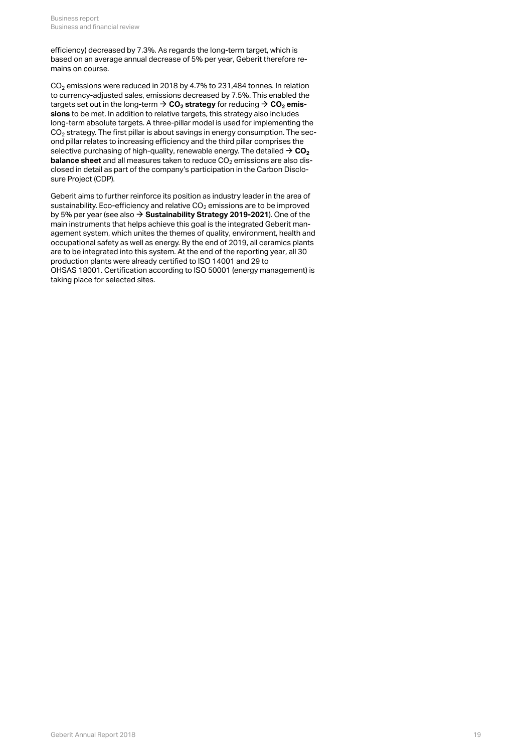efficiency) decreased by 7.3%. As regards the long-term target, which is based on an average annual decrease of 5% per year, Geberit therefore remains on course.

<span id="page-18-0"></span>CO $_2$  emissions were reduced in 2018 by 4.7% to 231,484 tonnes. In relation to currency-adjusted sales, emissions decreased by 7.5%. This enabled the  $\tt targets set out in the long-term  $\Rightarrow$  **CO**<sub>2</sub> **strategy** for reducing  $\Rightarrow$  **CO**<sub>2</sub> **emis-**$  $\tt targets set out in the long-term  $\Rightarrow$  **CO**<sub>2</sub> **strategy** for reducing  $\Rightarrow$  **CO**<sub>2</sub> **emis-**$  $\tt targets set out in the long-term  $\Rightarrow$  **CO**<sub>2</sub> **strategy** for reducing  $\Rightarrow$  **CO**<sub>2</sub> **emis-**$  $\tt targets set out in the long-term  $\Rightarrow$  **CO**<sub>2</sub> **strategy** for reducing  $\Rightarrow$  **CO**<sub>2</sub> **emis-**$  $\tt targets set out in the long-term  $\Rightarrow$  **CO**<sub>2</sub> **strategy** for reducing  $\Rightarrow$  **CO**<sub>2</sub> **emis**$ **[sions](#page-18-0)** to be met. In addition to relative targets, this strategy also includes long-term absolute targets. A three-pillar model is used for implementing the CO $_{\rm 2}$  strategy. The first pillar is about savings in energy consumption. The second pillar relates to increasing efficiency and the third pillar comprises the selective purchasing of high-quality, renewable energy. The detailed  $\rightarrow$  [CO](http://annualreport.geberit.com/reports/geberit/annual/2018/gb/English/306090/9_-planet.html?anchor=GRI305#GRI305)<sub>2</sub> **[balance sheet](http://annualreport.geberit.com/reports/geberit/annual/2018/gb/English/306090/9_-planet.html?anchor=GRI305#GRI305)** and all measures taken to reduce CO<sub>2</sub> emissions are also disclosed in detail as part of the company's participation in the Carbon Disclosure Project (CDP).  $\rightarrow$  CO<sub>[2](http://annualreport.geberit.com/reports/geberit/annual/2018/gb/English/306090/9_-planet.html?anchor=GRI305#GRI305)</sub>

Geberit aims to further reinforce its position as industry leader in the area of sustainability. Eco-efficiency and relative CO $_2$  emissions are to be improved by 5% per year (see also **→ [Sustainability Strategy 2019-2021](http://annualreport.geberit.com/reports/geberit/annual/2018/gb/English/3040/sustainability-strategy-2019---2021.html)**). One of the main instruments that helps achieve this goal is the integrated Geberit management system, which unites the themes of quality, environment, health and occupational safety as well as energy. By the end of 2019, all ceramics plants are to be integrated into this system. At the end of the reporting year, all 30 production plants were already certified to ISO 14001 and 29 to OHSAS 18001. Certification according to ISO 50001 (energy management) is taking place for selected sites.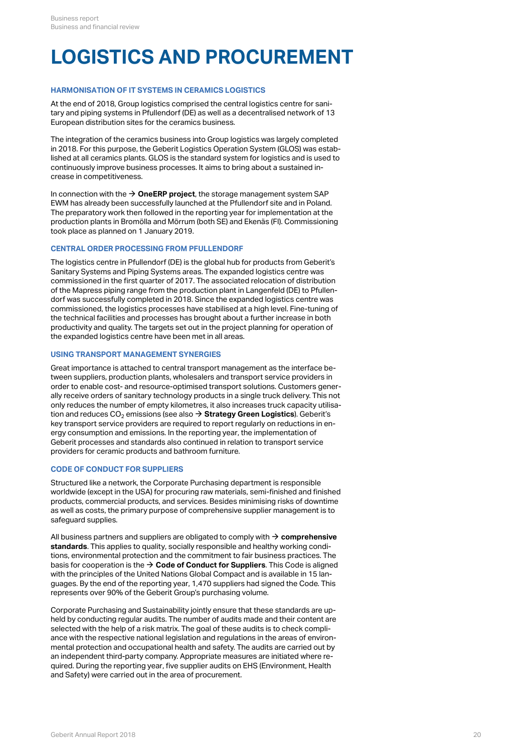# **LOGISTICS AND PROCUREMENT**

#### **HARMONISATION OF IT SYSTEMS IN CERAMICS LOGISTICS**

At the end of 2018, Group logistics comprised the central logistics centre for sanitary and piping systems in Pfullendorf (DE) as well as a decentralised network of 13 European distribution sites for the ceramics business.

The integration of the ceramics business into Group logistics was largely completed in 2018. For this purpose, the Geberit Logistics Operation System (GLOS) was established at all ceramics plants. GLOS is the standard system for logistics and is used to continuously improve business processes. It aims to bring about a sustained increase in competitiveness.

In connection with the  $\rightarrow$  [OneERP project](#page-17-0), the storage management system SAP EWM has already been successfully launched at the Pfullendorf site and in Poland. The preparatory work then followed in the reporting year for implementation at the production plants in Bromölla and Mörrum (both SE) and Ekenäs (FI). Commissioning took place as planned on 1 January 2019.

#### **CENTRAL ORDER PROCESSING FROM PFULLENDORF**

The logistics centre in Pfullendorf (DE) is the global hub for products from Geberit's Sanitary Systems and Piping Systems areas. The expanded logistics centre was commissioned in the first quarter of 2017. The associated relocation of distribution of the Mapress piping range from the production plant in Langenfeld (DE) to Pfullendorf was successfully completed in 2018. Since the expanded logistics centre was commissioned, the logistics processes have stabilised at a high level. Fine-tuning of the technical facilities and processes has brought about a further increase in both productivity and quality. The targets set out in the project planning for operation of the expanded logistics centre have been met in all areas.

#### **USING TRANSPORT MANAGEMENT SYNERGIES**

Great importance is attached to central transport management as the interface between suppliers, production plants, wholesalers and transport service providers in order to enable cost- and resource-optimised transport solutions. Customers generally receive orders of sanitary technology products in a single truck delivery. This not only reduces the number of empty kilometres, it also increases truck capacity utilisation and reduces CO<sub>2</sub> emissions (see also  $\bm{\rightarrow}$  **[Strategy Green Logistics](http://annualreport.geberit.com/reports/geberit/annual/2018/gb/English/3040/sustainability-strategy-2019---2021.html?anchor=S60#S60)**). Geberit's key transport service providers are required to report regularly on reductions in energy consumption and emissions. In the reporting year, the implementation of Geberit processes and standards also continued in relation to transport service providers for ceramic products and bathroom furniture.

#### **CODE OF CONDUCT FOR SUPPLIERS**

Structured like a network, the Corporate Purchasing department is responsible worldwide (except in the USA) for procuring raw materials, semi-finished and finished products, commercial products, and services. Besides minimising risks of downtime as well as costs, the primary purpose of comprehensive supplier management is to safeguard supplies.

All business partners and suppliers are obligated to comply with  $\rightarrow$  **[comprehensive](http://annualreport.geberit.com/reports/geberit/annual/2018/gb/English/30609520/10_2-operations.html?anchor=MANAGEMENTAPPROACH#MANAGEMENTAPPROACH) [standards](http://annualreport.geberit.com/reports/geberit/annual/2018/gb/English/30609520/10_2-operations.html?anchor=MANAGEMENTAPPROACH#MANAGEMENTAPPROACH)**. This applies to quality, socially responsible and healthy working conditions, environmental protection and the commitment to fair business practices. The basis for cooperation is the  $\bm{\rightarrow}$  **[Code of Conduct for Suppliers](http://annualreport.geberit.com/geberit/annual/2018/gb/layout/../English/pdf/supplier_code_of_conduct.pdf)**. This Code is aligned with the principles of the United Nations Global Compact and is available in 15 languages. By the end of the reporting year, 1,470 suppliers had signed the Code. This represents over 90% of the Geberit Group's purchasing volume.

Corporate Purchasing and Sustainability jointly ensure that these standards are upheld by conducting regular audits. The number of audits made and their content are selected with the help of a risk matrix. The goal of these audits is to check compliance with the respective national legislation and regulations in the areas of environmental protection and occupational health and safety. The audits are carried out by an independent third-party company. Appropriate measures are initiated where required. During the reporting year, five supplier audits on EHS (Environment, Health and Safety) were carried out in the area of procurement.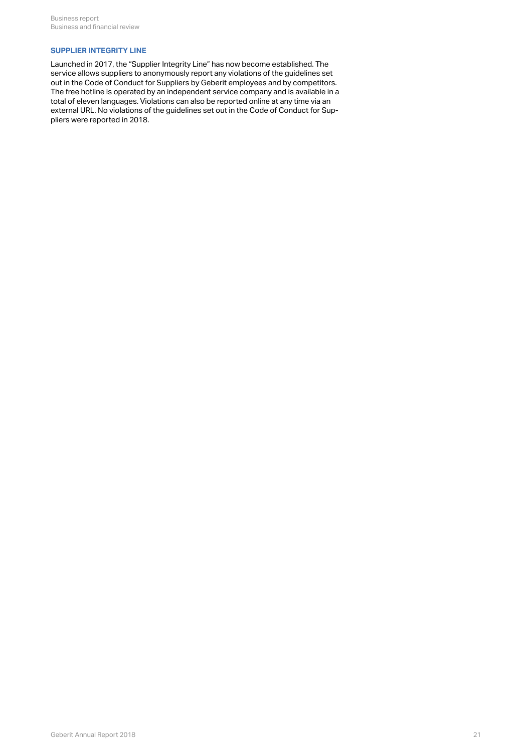### **SUPPLIER INTEGRITY LINE**

Launched in 2017, the "Supplier Integrity Line" has now become established. The service allows suppliers to anonymously report any violations of the guidelines set out in the Code of Conduct for Suppliers by Geberit employees and by competitors. The free hotline is operated by an independent service company and is available in a total of eleven languages. Violations can also be reported online at any time via an external URL. No violations of the guidelines set out in the Code of Conduct for Suppliers were reported in 2018.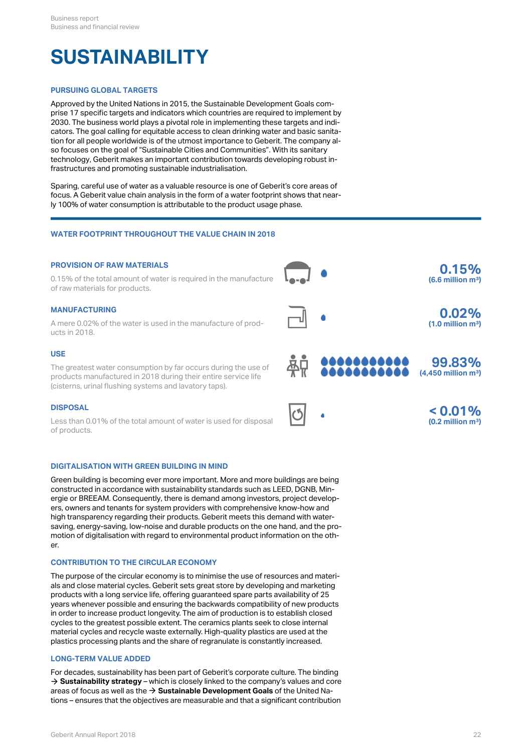# **SUSTAINABILITY**

### **PURSUING GLOBAL TARGETS**

Approved by the United Nations in 2015, the Sustainable Development Goals comprise 17 specific targets and indicators which countries are required to implement by 2030. The business world plays a pivotal role in implementing these targets and indicators. The goal calling for equitable access to clean drinking water and basic sanitation for all people worldwide is of the utmost importance to Geberit. The company also focuses on the goal of "Sustainable Cities and Communities". With its sanitary technology, Geberit makes an important contribution towards developing robust infrastructures and promoting sustainable industrialisation.

Sparing, careful use of water as a valuable resource is one of Geberit's core areas of focus. A Geberit value chain analysis in the form of a water footprint shows that nearly 100% of water consumption is attributable to the product usage phase.

#### **WATER FOOTPRINT THROUGHOUT THE VALUE CHAIN IN 2018**

#### **PROVISION OF RAW MATERIALS**



#### **DIGITALISATION WITH GREEN BUILDING IN MIND**

Green building is becoming ever more important. More and more buildings are being constructed in accordance with sustainability standards such as LEED, DGNB, Minergie or BREEAM. Consequently, there is demand among investors, project developers, owners and tenants for system providers with comprehensive know-how and high transparency regarding their products. Geberit meets this demand with watersaving, energy-saving, low-noise and durable products on the one hand, and the promotion of digitalisation with regard to environmental product information on the other.

#### **CONTRIBUTION TO THE CIRCULAR ECONOMY**

The purpose of the circular economy is to minimise the use of resources and materials and close material cycles. Geberit sets great store by developing and marketing products with a long service life, offering guaranteed spare parts availability of 25 years whenever possible and ensuring the backwards compatibility of new products in order to increase product longevity. The aim of production is to establish closed cycles to the greatest possible extent. The ceramics plants seek to close internal material cycles and recycle waste externally. High-quality plastics are used at the plastics processing plants and the share of regranulate is constantly increased.

#### **LONG-TERM VALUE ADDED**

For decades, sustainability has been part of Geberit's corporate culture. The binding  $\rightarrow$  **[Sustainability strategy](http://annualreport.geberit.com/reports/geberit/annual/2018/gb/English/3040/sustainability-strategy-2019---2021.html)** – which is closely linked to the company's values and core areas of focus as well as the → [Sustainable Development Goals](http://annualreport.geberit.com/geberit/annual/2018/gb/layout/../English/pdf/SDG_Reporting_2018_en.pdf) of the United Nations – ensures that the objectives are measurable and that a significant contribution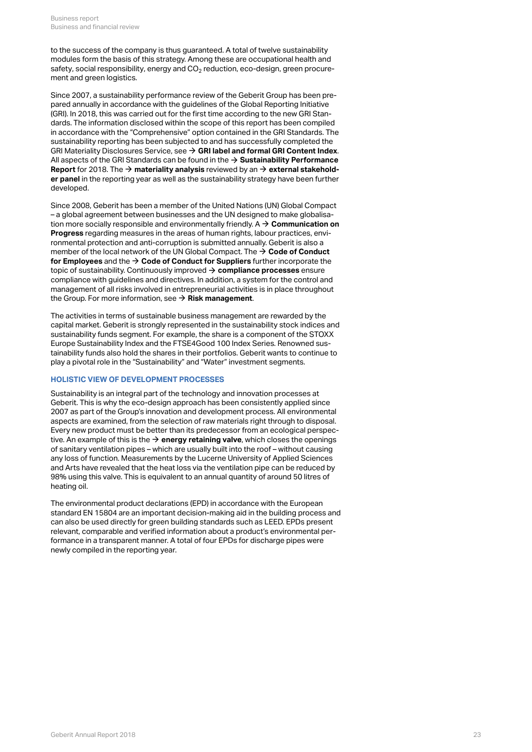to the success of the company is thus guaranteed. A total of twelve sustainability modules form the basis of this strategy. Among these are occupational health and safety, social responsibility, energy and CO $_2$  reduction, eco-design, green procurement and green logistics.

Since 2007, a sustainability performance review of the Geberit Group has been prepared annually in accordance with the guidelines of the Global Reporting Initiative (GRI). In 2018, this was carried out for the first time according to the new GRI Standards. The information disclosed within the scope of this report has been compiled in accordance with the "Comprehensive" option contained in the GRI Standards. The sustainability reporting has been subjected to and has successfully completed the GRI Materiality Disclosures Service, see **[GRI label and formal GRI Content Index](http://annualreport.geberit.com/geberit/annual/2018/gb/layout/../English/pdf/gri_content_index_2018.pdf)**. [\\$](http://annualreport.geberit.com/geberit/annual/2018/gb/layout/../English/pdf/gri_content_index_2018.pdf) All aspects of the GRI Standards can be found in the  $\rightarrow$  **[Sustainability Performance](http://annualreport.geberit.com/reports/geberit/annual/2018/gb/English/3060/sustainability-performance-report.html) Report** for 2018. The  $\rightarrow$  **materiality analysis** reviewed by an  $\rightarrow$  **[external stakehold](http://annualreport.geberit.com/geberit/annual/2018/gb/layout/../English/pdf/stakeholder_panel_2018.pdf)[er panel](http://annualreport.geberit.com/geberit/annual/2018/gb/layout/../English/pdf/stakeholder_panel_2018.pdf)** in the reporting year as well as the sustainability strategy have been further developed.

Since 2008, Geberit has been a member of the United Nations (UN) Global Compact – a global agreement between businesses and the UN designed to make globalisation more socially responsible and environmentally friendly. A **[Communication on](http://annualreport.geberit.com/geberit/annual/2018/gb/layout/../English/pdf/cop_ungc_2017_en.pdf)** [\\$](http://annualreport.geberit.com/geberit/annual/2018/gb/layout/../English/pdf/cop_ungc_2017_en.pdf) **[Progress](http://annualreport.geberit.com/geberit/annual/2018/gb/layout/../English/pdf/cop_ungc_2017_en.pdf)** regarding measures in the areas of human rights, labour practices, environmental protection and anti-corruption is submitted annually. Geberit is also a member of the local network of the UN Global Compact. The  $\rightarrow$  **[Code of Conduct](http://annualreport.geberit.com/geberit/annual/2018/gb/layout/../English/pdf/geberit_code_of_conduct_en.pdf) [for Employees](http://annualreport.geberit.com/geberit/annual/2018/gb/layout/../English/pdf/geberit_code_of_conduct_en.pdf)** and the  $\rightarrow$  [Code of Conduct for Suppliers](http://annualreport.geberit.com/geberit/annual/2018/gb/layout/../English/pdf/supplier_code_of_conduct.pdf) further incorporate the topic of sustainability. Continuously improved **[compliance processes](#page-23-0)** ensure [\\$](#page-23-0) compliance with guidelines and directives. In addition, a system for the control and management of all risks involved in entrepreneurial activities is in place throughout the Group. For more information, see  $\rightarrow$  **[Risk management](#page-4-0)**.

The activities in terms of sustainable business management are rewarded by the capital market. Geberit is strongly represented in the sustainability stock indices and sustainability funds segment. For example, the share is a component of the STOXX Europe Sustainability Index and the FTSE4Good 100 Index Series. Renowned sustainability funds also hold the shares in their portfolios. Geberit wants to continue to play a pivotal role in the "Sustainability" and "Water" investment segments.

### **HOLISTIC VIEW OF DEVELOPMENT PROCESSES**

Sustainability is an integral part of the technology and innovation processes at Geberit. This is why the eco-design approach has been consistently applied since 2007 as part of the Group's innovation and development process. All environmental aspects are examined, from the selection of raw materials right through to disposal. Every new product must be better than its predecessor from an ecological perspective. An example of this is the  $\rightarrow$  **[energy retaining valve](#page-15-1)**, which closes the openings of sanitary ventilation pipes – which are usually built into the roof – without causing any loss of function. Measurements by the Lucerne University of Applied Sciences and Arts have revealed that the heat loss via the ventilation pipe can be reduced by 98% using this valve. This is equivalent to an annual quantity of around 50 litres of heating oil.

The environmental product declarations (EPD) in accordance with the European standard EN 15804 are an important decision-making aid in the building process and can also be used directly for green building standards such as LEED. EPDs present relevant, comparable and verified information about a product's environmental performance in a transparent manner. A total of four EPDs for discharge pipes were newly compiled in the reporting year.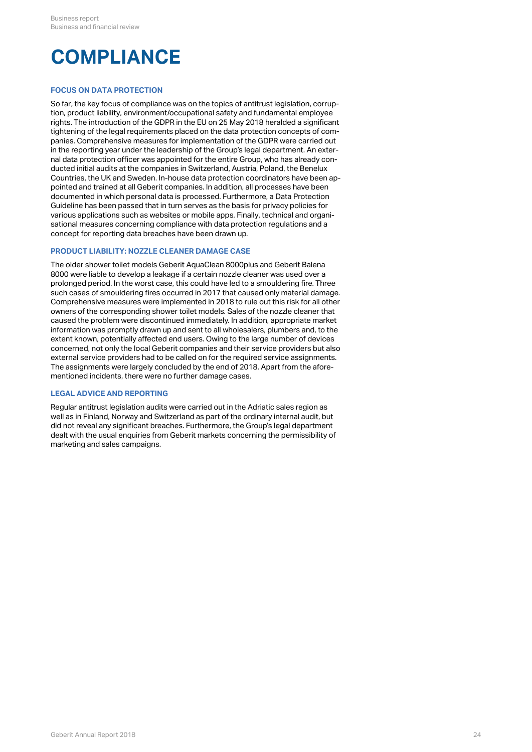# <span id="page-23-0"></span>**COMPLIANCE**

### **FOCUS ON DATA PROTECTION**

So far, the key focus of compliance was on the topics of antitrust legislation, corruption, product liability, environment/occupational safety and fundamental employee rights. The introduction of the GDPR in the EU on 25 May 2018 heralded a significant tightening of the legal requirements placed on the data protection concepts of companies. Comprehensive measures for implementation of the GDPR were carried out in the reporting year under the leadership of the Group's legal department. An external data protection officer was appointed for the entire Group, who has already conducted initial audits at the companies in Switzerland, Austria, Poland, the Benelux Countries, the UK and Sweden. In-house data protection coordinators have been appointed and trained at all Geberit companies. In addition, all processes have been documented in which personal data is processed. Furthermore, a Data Protection Guideline has been passed that in turn serves as the basis for privacy policies for various applications such as websites or mobile apps. Finally, technical and organisational measures concerning compliance with data protection regulations and a concept for reporting data breaches have been drawn up.

#### **PRODUCT LIABILITY: NOZZLE CLEANER DAMAGE CASE**

The older shower toilet models Geberit AquaClean 8000plus and Geberit Balena 8000 were liable to develop a leakage if a certain nozzle cleaner was used over a prolonged period. In the worst case, this could have led to a smouldering fire. Three such cases of smouldering fires occurred in 2017 that caused only material damage. Comprehensive measures were implemented in 2018 to rule out this risk for all other owners of the corresponding shower toilet models. Sales of the nozzle cleaner that caused the problem were discontinued immediately. In addition, appropriate market information was promptly drawn up and sent to all wholesalers, plumbers and, to the extent known, potentially affected end users. Owing to the large number of devices concerned, not only the local Geberit companies and their service providers but also external service providers had to be called on for the required service assignments. The assignments were largely concluded by the end of 2018. Apart from the aforementioned incidents, there were no further damage cases.

#### **LEGAL ADVICE AND REPORTING**

Regular antitrust legislation audits were carried out in the Adriatic sales region as well as in Finland, Norway and Switzerland as part of the ordinary internal audit, but did not reveal any significant breaches. Furthermore, the Group's legal department dealt with the usual enquiries from Geberit markets concerning the permissibility of marketing and sales campaigns.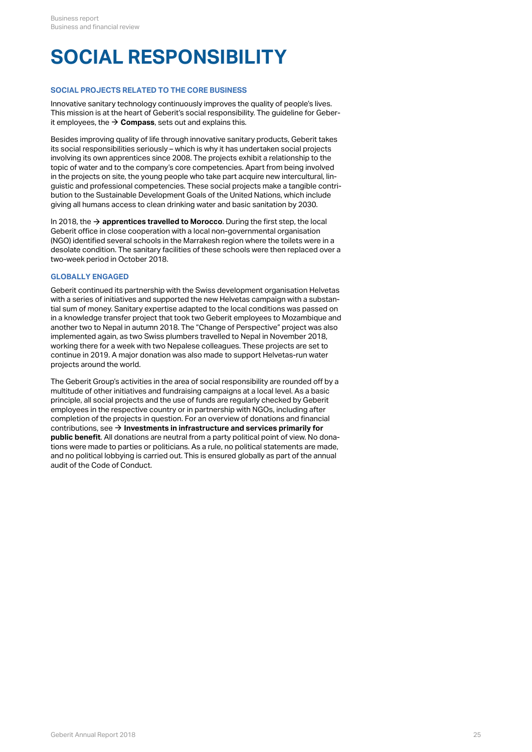# **SOCIAL RESPONSIBILITY**

#### **SOCIAL PROJECTS RELATED TO THE CORE BUSINESS**

Innovative sanitary technology continuously improves the quality of people's lives. This mission is at the heart of Geberit's social responsibility. The guideline for Geberit employees, the  $\rightarrow$  [Compass](http://annualreport.geberit.com/geberit/annual/2018/gb/layout/../English/pdf/geberit_compass.pdf), sets out and explains this.

Besides improving quality of life through innovative sanitary products, Geberit takes its social responsibilities seriously – which is why it has undertaken social projects involving its own apprentices since 2008. The projects exhibit a relationship to the topic of water and to the company's core competencies. Apart from being involved in the projects on site, the young people who take part acquire new intercultural, linguistic and professional competencies. These social projects make a tangible contribution to the Sustainable Development Goals of the United Nations, which include giving all humans access to clean drinking water and basic sanitation by 2030.

In 2018, the  $\rightarrow$  **[apprentices travelled to Morocco](http://annualreport.geberit.com/reports/geberit/annual/2018/gb/English/40/a-look-back-thats-worthwhile_-_br_the-world-of-geberit-in-2018_.html?anchor=2409#2409)**. During the first step, the local Geberit office in close cooperation with a local non-governmental organisation (NGO) identified several schools in the Marrakesh region where the toilets were in a desolate condition. The sanitary facilities of these schools were then replaced over a two-week period in October 2018.

#### **GLOBALLY ENGAGED**

Geberit continued its partnership with the Swiss development organisation Helvetas with a series of initiatives and supported the new Helvetas campaign with a substantial sum of money. Sanitary expertise adapted to the local conditions was passed on in a knowledge transfer project that took two Geberit employees to Mozambique and another two to Nepal in autumn 2018. The "Change of Perspective" project was also implemented again, as two Swiss plumbers travelled to Nepal in November 2018, working there for a week with two Nepalese colleagues. These projects are set to continue in 2019. A major donation was also made to support Helvetas-run water projects around the world.

The Geberit Group's activities in the area of social responsibility are rounded off by a multitude of other initiatives and fundraising campaigns at a local level. As a basic principle, all social projects and the use of funds are regularly checked by Geberit employees in the respective country or in partnership with NGOs, including after completion of the projects in question. For an overview of donations and financial contributions, see  $\bm{\rightarrow}$  **[Investments in infrastructure and services primarily for](http://annualreport.geberit.com/reports/geberit/annual/2018/gb/English/30608020/8_2-society.html?anchor=GRI203#GRI203) [public benefit](http://annualreport.geberit.com/reports/geberit/annual/2018/gb/English/30608020/8_2-society.html?anchor=GRI203#GRI203)**. All donations are neutral from a party political point of view. No donations were made to parties or politicians. As a rule, no political statements are made, and no political lobbying is carried out. This is ensured globally as part of the annual audit of the Code of Conduct.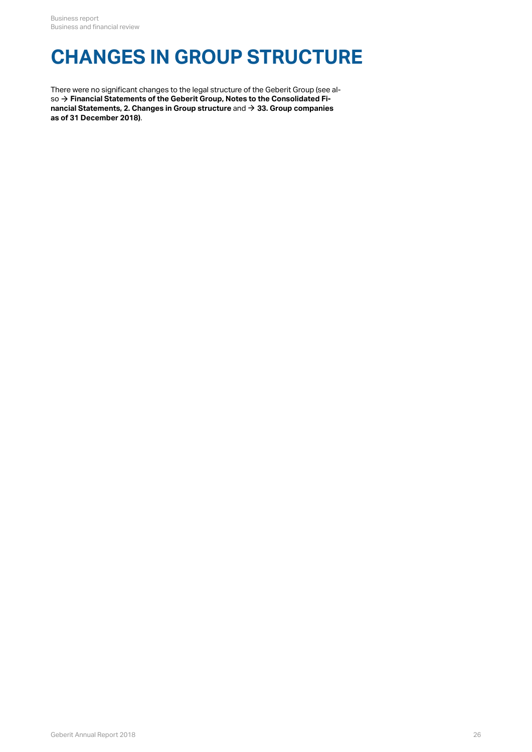# **CHANGES IN GROUP STRUCTURE**

There were no significant changes to the legal structure of the Geberit Group (see also  $\rightarrow$  [Financial Statements of the Geberit Group, Notes to the Consolidated Fi](http://annualreport.geberit.com/reports/geberit/annual/2018/gb/English/20405002/2_-changes-in-group-structure.html)**[nancial Statements, 2. Changes in Group structure](http://annualreport.geberit.com/reports/geberit/annual/2018/gb/English/20405002/2_-changes-in-group-structure.html)** and **[33. Group companies](http://annualreport.geberit.com/reports/geberit/annual/2018/gb/English/20405033/33_-group-companies-as-at-31-december-2018.html)** so → Financial Statements of the Geberit Group, Notes to the Consolidate<br>nancial Statements, 2. Changes in Group structure and → 33. Group comp<br>[as of 31 December 2018\)](http://annualreport.geberit.com/reports/geberit/annual/2018/gb/English/20405033/33_-group-companies-as-at-31-december-2018.html).  $\rightarrow$